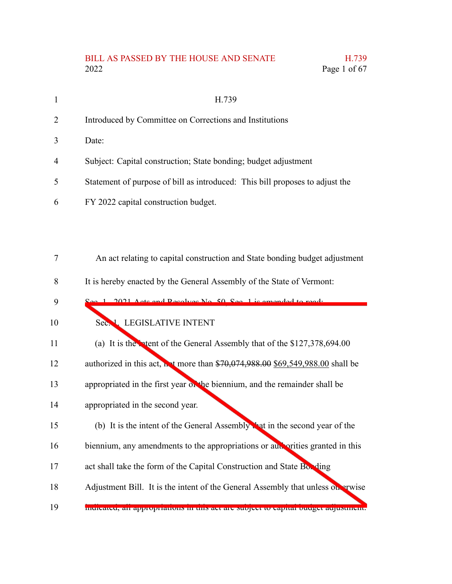# BILL AS PASSED BY THE HOUSE AND SENATE H.739<br>2022 Page 1 of 67 Page 1 of 67

| $\mathbf{1}$   | H.739                                                                                 |
|----------------|---------------------------------------------------------------------------------------|
| $\overline{2}$ | Introduced by Committee on Corrections and Institutions                               |
| 3              | Date:                                                                                 |
| $\overline{4}$ | Subject: Capital construction; State bonding; budget adjustment                       |
| 5              | Statement of purpose of bill as introduced: This bill proposes to adjust the          |
| 6              | FY 2022 capital construction budget.                                                  |
|                |                                                                                       |
|                |                                                                                       |
| 7              | An act relating to capital construction and State bonding budget adjustment           |
| 8              | It is hereby enacted by the General Assembly of the State of Vermont:                 |
| 9              | Acts and Recolves No. 50, Sec. 1 is amonded to read.                                  |
| 10             | Sec. 1. LEGISLATIVE INTENT                                                            |
| 11             | (a) It is the intent of the General Assembly that of the \$127,378,694.00             |
| 12             | authorized in this act, <b>N</b> t more than \$70,074,988.00 \$69,549,988.00 shall be |
| 13             | appropriated in the first year on the biennium, and the remainder shall be            |
| 14             | appropriated in the second year.                                                      |
| 15             | (b) It is the intent of the General Assembly that in the second year of the           |
| 16             | biennium, any amendments to the appropriations or aux orities granted in this         |
| 17             | act shall take the form of the Capital Construction and State Box ding                |

- Adjustment Bill. It is the intent of the General Assembly that unless out arwise 18
- indicated, all appropriations in this act are subject to capital budget adjustment. 19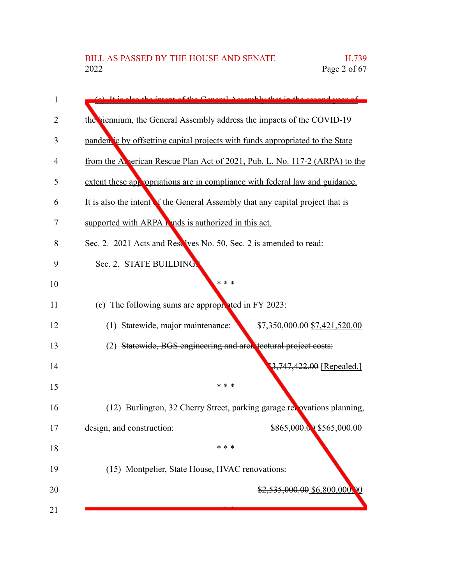| 1              | (a) It is also the intent of the Coneral Assembly that in the second year of   |
|----------------|--------------------------------------------------------------------------------|
| $\overline{2}$ | the biennium, the General Assembly address the impacts of the COVID-19         |
| 3              | pandem is by offsetting capital projects with funds appropriated to the State  |
| 4              | from the Alperican Rescue Plan Act of 2021, Pub. L. No. 117-2 (ARPA) to the    |
| 5              | extent these appropriations are in compliance with federal law and guidance.   |
| 6              | It is also the intent of the General Assembly that any capital project that is |
| 7              | supported with ARPA h nds is authorized in this act.                           |
| 8              | Sec. 2. 2021 Acts and Reselves No. 50, Sec. 2 is amended to read:              |
| 9              | Sec. 2. STATE BUILDING.                                                        |
| 10             | * * *                                                                          |
| 11             | (c) The following sums are appropriated in FY 2023:                            |
| 12             | (1) Statewide, major maintenance:<br>\$7,350,000.00 \$7,421,520.00             |
| 13             | (2) Statewide, BGS engineering and architectural project costs:                |
| 14             | $3,747,422.00$ [Repealed.]                                                     |
| 15             | * * *                                                                          |
| 16             | (12) Burlington, 32 Cherry Street, parking garage relovations planning,        |
| 17             | \$865,000.00 \$565,000.00<br>design, and construction:                         |
| 18             | * * *                                                                          |
| 19             | (15) Montpelier, State House, HVAC renovations:                                |
| 20             | $$2,535,000.00$$ \$6,800,000,                                                  |
| 21             |                                                                                |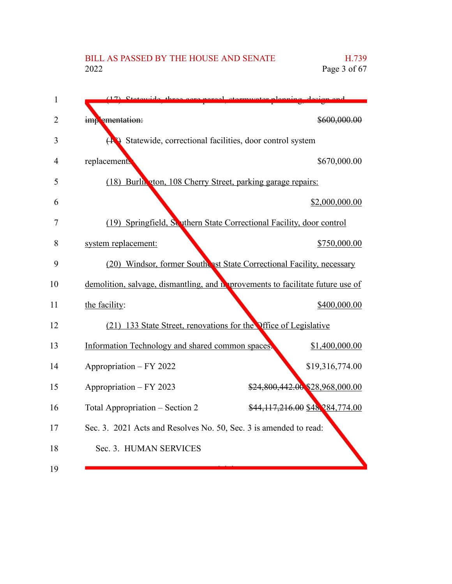## BILL AS PASSED BY THE HOUSE AND SENATE H.739<br>2022 Page 3 of 67 Page 3 of  $67$

| $\mathbf{1}$   |                                                                                 |
|----------------|---------------------------------------------------------------------------------|
| $\overline{2}$ | imp ementation:<br>\$600,000.00                                                 |
| 3              | $(\mathbf{R})$ Statewide, correctional facilities, door control system          |
| 4              | \$670,000.00<br>replacements                                                    |
| 5              | (18) Burlin aton, 108 Cherry Street, parking garage repairs:                    |
| 6              | \$2,000,000.00                                                                  |
| 7              | (19) Springfield, Southern State Correctional Facility, door control            |
| 8              | \$750,000.00<br>system replacement:                                             |
| 9              | (20) Windsor, former Southest State Correctional Facility, necessary            |
| 10             | demolition, salvage, dismantling, and no provements to facilitate future use of |
| 11             | \$400,000.00<br>the facility:                                                   |
| 12             | (21) 133 State Street, renovations for the Office of Legislative                |
| 13             | Information Technology and shared common spaces<br>\$1,400,000.00               |
| 14             | Appropriation - FY 2022<br>\$19,316,774.00                                      |
| 15             | \$24,800,442.00 \$28,968,000.00<br>Appropriation - FY 2023                      |
| 16             | \$44,117,216.00 \$48,284,774.00<br>Total Appropriation – Section 2              |
| 17             | Sec. 3. 2021 Acts and Resolves No. 50, Sec. 3 is amended to read:               |
| 18             | Sec. 3. HUMAN SERVICES                                                          |
| 19             |                                                                                 |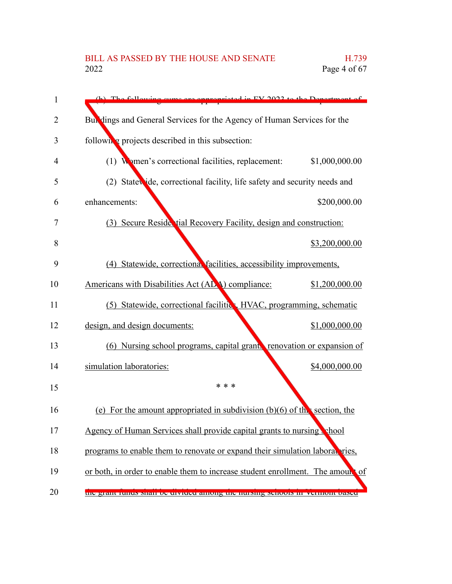# BILL AS PASSED BY THE HOUSE AND SENATE H.739<br>2022 Page 4 of 67 Page 4 of  $67$

| 1              | (b) The following gums are appropriated in EV 2022 to the Department.          |                |
|----------------|--------------------------------------------------------------------------------|----------------|
| $\overline{2}$ | But dings and General Services for the Agency of Human Services for the        |                |
| 3              | following projects described in this subsection:                               |                |
| 4              | (1) Women's correctional facilities, replacement:                              | \$1,000,000.00 |
| 5              | (2) Statewide, correctional facility, life safety and security needs and       |                |
| 6              | enhancements:                                                                  | \$200,000.00   |
| 7              | (3) Secure Reside tial Recovery Facility, design and construction:             |                |
| 8              |                                                                                | \$3,200,000.00 |
| 9              | (4) Statewide, correctional facilities, accessibility improvements,            |                |
| 10             | Americans with Disabilities Act (ADA) compliance:                              | \$1,200,000.00 |
| 11             | (5) Statewide, correctional facilities, HVAC, programming, schematic           |                |
| 12             | design, and design documents:                                                  | \$1,000,000.00 |
| 13             | (6) Nursing school programs, capital grants renovation or expansion of         |                |
| 14             | simulation laboratories:                                                       | \$4,000,000.00 |
| 15             | * *                                                                            |                |
| 16             | (e) For the amount appropriated in subdivision $(b)(6)$ of the section, the    |                |
| 17             | Agency of Human Services shall provide capital grants to nursing chool         |                |
| 18             | programs to enable them to renovate or expand their simulation laboral ries,   |                |
| 19             | or both, in order to enable them to increase student enrollment. The amount of |                |
| 20             | the grant runds shan be divided among the nursing senools in vermont based     |                |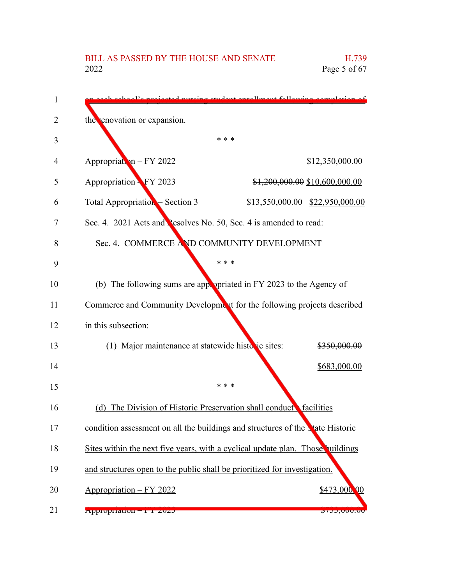| 1  | al'e projected purging student enrollment following completion                         |  |                                   |
|----|----------------------------------------------------------------------------------------|--|-----------------------------------|
| 2  | the enovation or expansion.                                                            |  |                                   |
| 3  | * * *                                                                                  |  |                                   |
| 4  | Appropriation - FY 2022                                                                |  | \$12,350,000.00                   |
| 5  | Appropriation FY 2023                                                                  |  | \$1,200,000.00 \$10,600,000.00    |
| 6  | Total Appropriation – Section 3                                                        |  | $$13,550,000.00$ $$22,950,000.00$ |
| 7  | Sec. 4. 2021 Acts and Pesolves No. 50, Sec. 4 is amended to read:                      |  |                                   |
| 8  | Sec. 4. COMMERCE AND COMMUNITY DEVELOPMENT                                             |  |                                   |
| 9  | * * *                                                                                  |  |                                   |
| 10 | (b) The following sums are appropriated in FY 2023 to the Agency of                    |  |                                   |
| 11 | Commerce and Community Development for the following projects described                |  |                                   |
| 12 | in this subsection:                                                                    |  |                                   |
| 13 | (1) Major maintenance at statewide historic sites:                                     |  | \$350,000.00                      |
| 14 |                                                                                        |  | \$683,000.00                      |
| 15 | * * *                                                                                  |  |                                   |
| 16 | (d) The Division of Historic Preservation shall conduct facilities                     |  |                                   |
| 17 | condition assessment on all the buildings and structures of the <b>N</b> tate Historic |  |                                   |
| 18 | Sites within the next five years, with a cyclical update plan. Those buildings         |  |                                   |
| 19 | and structures open to the public shall be prioritized for investigation.              |  |                                   |
| 20 | Appropriation - FY 2022                                                                |  | \$473,000.00                      |
| 21 | <b>Appropriation - 14 2020</b>                                                         |  | <u><del>Q</del>7JJ,UUU.UU</u>     |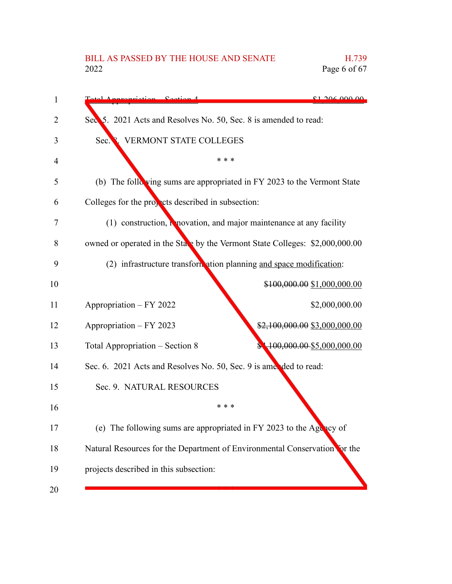# BILL AS PASSED BY THE HOUSE AND SENATE H.739<br>2022 Page 6 of 67

Page 6 of  $67$ 

| 1  | 2060000<br>$\frac{C_{\text{phi}}}{A}$                                        |
|----|------------------------------------------------------------------------------|
| 2  | Sec. 5. 2021 Acts and Resolves No. 50, Sec. 8 is amended to read:            |
| 3  | <b>VERMONT STATE COLLEGES</b><br>Sec.                                        |
| 4  | * * *                                                                        |
| 5  | (b) The following sums are appropriated in FY 2023 to the Vermont State      |
| 6  | Colleges for the properts described in subsection:                           |
| 7  | $(1)$ construction, <b>N</b> novation, and major maintenance at any facility |
| 8  | owned or operated in the State by the Vermont State Colleges: \$2,000,000.00 |
| 9  | (2) infrastructure transformation planning and space modification:           |
| 10 | \$100,000.00 \$1,000,000.00                                                  |
| 11 | Appropriation - FY 2022<br>\$2,000,000.00                                    |
| 12 | Appropriation - FY 2023<br>\$2,100,000.00 \$3,000,000.00                     |
| 13 | $100,000.00 - $5,000,000.00$<br>Total Appropriation – Section 8              |
| 14 | Sec. 6. 2021 Acts and Resolves No. 50, Sec. 9 is amended to read:            |
| 15 | Sec. 9. NATURAL RESOURCES                                                    |
| 16 | * * *                                                                        |
| 17 | (e) The following sums are appropriated in FY 2023 to the Agency of          |
| 18 | Natural Resources for the Department of Environmental Conservation for the   |
| 19 | projects described in this subsection:                                       |
| 20 |                                                                              |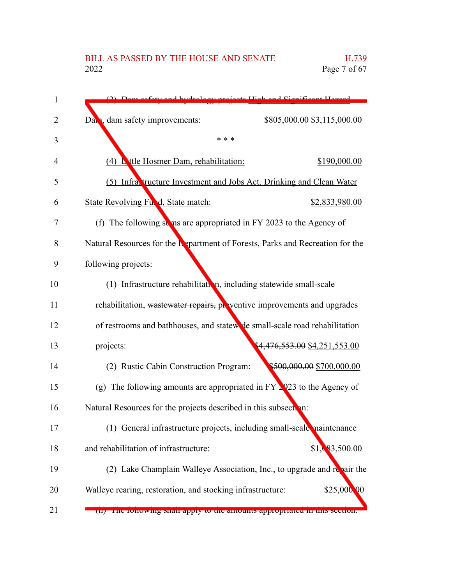## BILL AS PASSED BY THE HOUSE AND SENATE H.739<br>2022 Page 7 of 67 Page 7 of  $67$

| 1              | ofsty and hydrology projects High and Cignificant Hozard                       |  |
|----------------|--------------------------------------------------------------------------------|--|
| $\overline{2}$ | dam safety improvements:<br>\$805,000.00 \$3,115,000.00<br>Dan                 |  |
| 3              | * * *                                                                          |  |
| 4              | (4) L'utle Hosmer Dam, rehabilitation:<br>\$190,000.00                         |  |
| 5              | (5) Infracture Investment and Jobs Act, Drinking and Clean Water               |  |
| 6              | State Revolving Ful d, State match:<br>\$2,833,980.00                          |  |
| 7              | (f) The following sums are appropriated in FY 2023 to the Agency of            |  |
| 8              | Natural Resources for the Lepartment of Forests, Parks and Recreation for the  |  |
| 9              | following projects:                                                            |  |
| 10             | (1) Infrastructure rehabilitation, including statewide small-scale             |  |
| 11             | rehabilitation, wastewater repairs, proventive improvements and upgrades       |  |
| 12             | of restrooms and bathhouses, and statew de small-scale road rehabilitation     |  |
| 13             | 4,476,553.00 \$4,251,553.00<br>projects:                                       |  |
| 14             | \$500,000.00 \$700,000.00<br>(2) Rustic Cabin Construction Program:            |  |
| 15             | (g) The following amounts are appropriated in $FY \times 223$ to the Agency of |  |
| 16             | Natural Resources for the projects described in this subsection:               |  |
| 17             | (1) General infrastructure projects, including small-scale maintenance         |  |
| 18             | \$1,083,500.00<br>and rehabilitation of infrastructure:                        |  |
| 19             | (2) Lake Champlain Walleye Association, Inc., to upgrade and repair the        |  |
| 20             | \$25,000,00<br>Walleye rearing, restoration, and stocking infrastructure:      |  |
| 21             | пи тие топомину ман арргу то не антония арргориател нг ину уссион.             |  |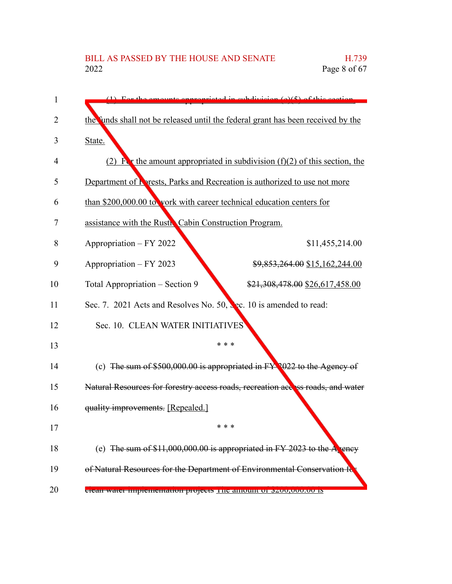| 1              | $(1)$ For the emounts environmented in subdivision $(\alpha)(5)$ of this section    |  |
|----------------|-------------------------------------------------------------------------------------|--|
| $\overline{2}$ | the funds shall not be released until the federal grant has been received by the    |  |
| 3              | State.                                                                              |  |
| 4              | (2) $\mathbf{F}$ the amount appropriated in subdivision (f)(2) of this section, the |  |
| 5              | Department of <b>R</b> rests, Parks and Recreation is authorized to use not more    |  |
| 6              | than \$200,000.00 to vork with career technical education centers for               |  |
| 7              | assistance with the Rustic Cabin Construction Program.                              |  |
| 8              | Appropriation - FY 2022<br>\$11,455,214.00                                          |  |
| 9              | Appropriation – FY 2023<br>\$9,853,264.00 \$15,162,244.00                           |  |
| 10             | Total Appropriation – Section 9<br>\$21,308,478.00 \$26,617,458.00                  |  |
| 11             | Sec. 7. 2021 Acts and Resolves No. 50, Sec. 10 is amended to read:                  |  |
| 12             | Sec. 10. CLEAN WATER INITIATIVES                                                    |  |
| 13             | * * *                                                                               |  |
| 14             | (c) The sum of $$500,000.00$ is appropriated in $FY$ (022 to the Agency of          |  |
| 15             | Natural Resources for forestry access roads, recreation access roads, and water     |  |
| 16             | quality improvements. [Repealed.]                                                   |  |
| 17             | * * *                                                                               |  |
| 18             | (e) The sum of $$11,000,000.00$ is appropriated in FY 2023 to the A rency           |  |
| 19             | of Natural Resources for the Department of Environmental Conservation fo            |  |
| 20             | <del>Glean water imprememation projects</del> The amount or p200,000.00 is          |  |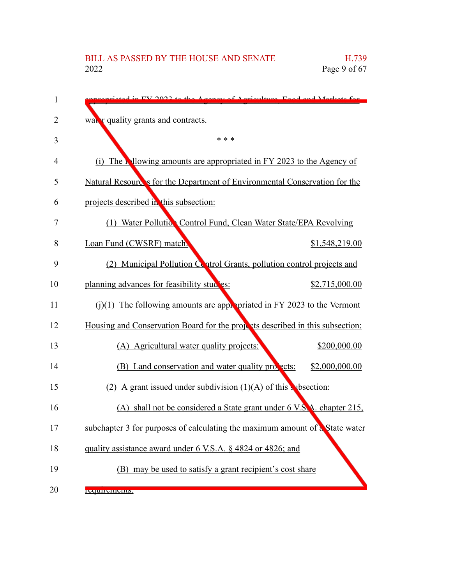| 1              | EV 2022 to the Agency of Agriculture East and Meritate for                    |
|----------------|-------------------------------------------------------------------------------|
| $\overline{2}$ | wat r quality grants and contracts.                                           |
| 3              | * * *                                                                         |
| 4              | (i) The Mlowing amounts are appropriated in FY 2023 to the Agency of          |
| 5              | Natural Resources for the Department of Environmental Conservation for the    |
| 6              | projects described in this subsection:                                        |
| 7              | (1) Water Pollutic. Control Fund, Clean Water State/EPA Revolving             |
| 8              | Loan Fund (CWSRF) match.<br>\$1,548,219.00                                    |
| 9              | (2) Municipal Pollution Control Grants, pollution control projects and        |
| 10             | planning advances for feasibility studies:<br>\$2,715,000.00                  |
| 11             | $(j)(1)$ The following amounts are appropriated in FY 2023 to the Vermont     |
| 12             | Housing and Conservation Board for the property described in this subsection: |
| 13             | (A) Agricultural water quality projects:<br>\$200,000.00                      |
| 14             | (B) Land conservation and water quality projects:<br>\$2,000,000.00           |
| 15             | (2) A grant issued under subdivision $(1)(A)$ of this v bsection:             |
| 16             | (A) shall not be considered a State grant under 6 V.S.A. chapter 215,         |
| 17             | subchapter 3 for purposes of calculating the maximum amount of a State water  |
| 18             | quality assistance award under 6 V.S.A. § 4824 or 4826; and                   |
| 19             | (B) may be used to satisfy a grant recipient's cost share                     |
| 20             | <b>Requirements.</b>                                                          |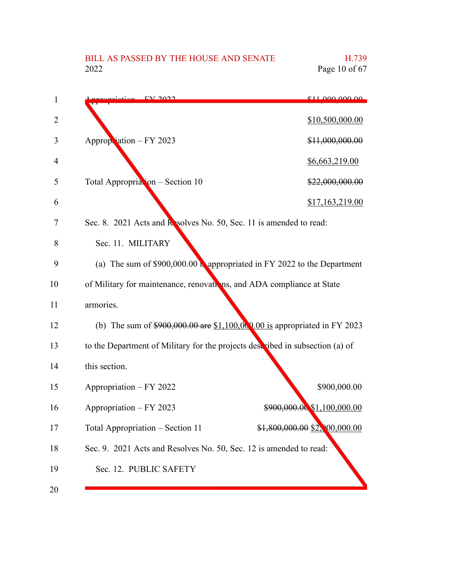# BILL AS PASSED BY THE HOUSE AND SENATE H.739<br>2022 Page 10 of 67

| 1              | $E$ V $\Omega$                                                                | 011,000,000,00                |
|----------------|-------------------------------------------------------------------------------|-------------------------------|
| $\overline{2}$ |                                                                               | \$10,500,000.00               |
| 3              | Appropriation - FY 2023                                                       | \$11,000,000.00               |
| 4              |                                                                               | <u>\$6,663,219.00</u>         |
| 5              | Total Appropriation - Section 10                                              | \$22,000,000.00               |
| 6              |                                                                               | \$17,163,219.00               |
| 7              | Sec. 8. 2021 Acts and <b>R</b> solves No. 50, Sec. 11 is amended to read:     |                               |
| 8              | Sec. 11. MILITARY                                                             |                               |
| 9              | (a) The sum of $$900,000.00$ N appropriated in FY 2022 to the Department      |                               |
| 10             | of Military for maintenance, renovations, and ADA compliance at State         |                               |
| 11             | armories.                                                                     |                               |
| 12             | (b) The sum of $$900,000.00$ are $$1,100,000.00$ is appropriated in FY 2023   |                               |
| 13             | to the Department of Military for the projects described in subsection (a) of |                               |
| 14             | this section.                                                                 |                               |
| 15             | Appropriation - FY 2022                                                       | \$900,000.00                  |
| 16             | Appropriation - FY 2023                                                       | \$900,000.00 \$1,100,000.00   |
| 17             | Total Appropriation - Section 11                                              | \$1,800,000.00 \$2,000,000.00 |
| 18             | Sec. 9. 2021 Acts and Resolves No. 50, Sec. 12 is amended to read:            |                               |
| 19             | Sec. 12. PUBLIC SAFETY                                                        |                               |
| 20             |                                                                               |                               |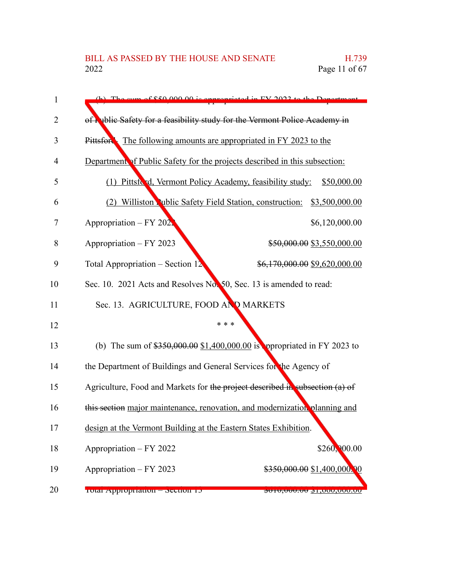| 1  | (b) The cum of \$50,000,00 is environmented in EV 2022 to the Department          |
|----|-----------------------------------------------------------------------------------|
| 2  | of <b>Nablic Safety for a feasibility study for the Vermont Police Academy in</b> |
| 3  | The following amounts are appropriated in FY 2023 to the<br>Pittsfor              |
| 4  | Department of Public Safety for the projects described in this subsection:        |
| 5  | (1) Pittsford, Vermont Policy Academy, feasibility study:<br>\$50,000.00          |
| 6  | (2) Williston while Safety Field Station, construction: \$3,500,000.00            |
| 7  | Appropriation – $FY$ 202.<br>\$6,120,000.00                                       |
| 8  | Appropriation - FY 2023<br>\$50,000.00 \$3,550,000.00                             |
| 9  | Total Appropriation – Section $12$<br>\$6,170,000.00 \$9,620,000.00               |
| 10 | Sec. 10. 2021 Acts and Resolves No. 50, Sec. 13 is amended to read:               |
| 11 | Sec. 13. AGRICULTURE, FOOD AND MARKETS                                            |
| 12 | * * *                                                                             |
| 13 | (b) The sum of $$350,000.00 \ $1,400,000.00$ is oppropriated in FY 2023 to        |
| 14 | the Department of Buildings and General Services for the Agency of                |
| 15 | Agriculture, Food and Markets for the project described in subsection (a) of      |
| 16 | this section major maintenance, renovation, and modernization planning and        |
| 17 | design at the Vermont Building at the Eastern States Exhibition.                  |
| 18 | \$260,000.00<br>Appropriation - FY 2022                                           |
| 19 | \$350,000.00 \$1,400,000.00<br>Appropriation - FY 2023                            |
| 20 | Total Appropriation - Section 15<br><del>www.com prodocom but you</del>           |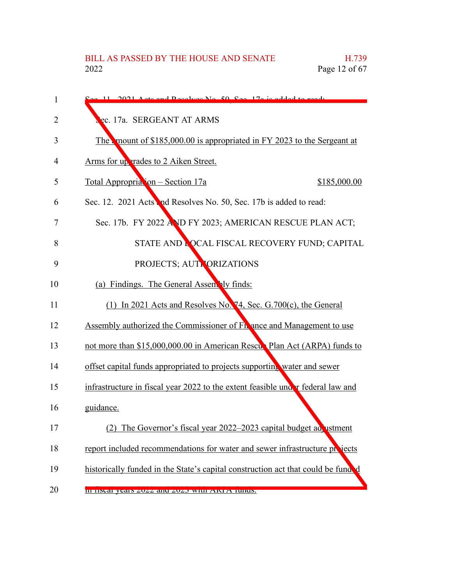| 1  | $\sim$ 11 2021 Agts and Desolves No. 50, See, 170 is added to read.              |
|----|----------------------------------------------------------------------------------|
| 2  | ec. 17a. SERGEANT AT ARMS                                                        |
| 3  | The mount of \$185,000.00 is appropriated in FY 2023 to the Sergeant at          |
| 4  | Arms for up trades to 2 Aiken Street.                                            |
| 5  | <u> Total Appropria 'on – Section 17a</u><br>\$185,000.00                        |
| 6  | Sec. 12. 2021 Acts and Resolves No. 50, Sec. 17b is added to read:               |
| 7  | Sec. 17b. FY 2022 AND FY 2023; AMERICAN RESCUE PLAN ACT;                         |
| 8  | STATE AND LOCAL FISCAL RECOVERY FUND; CAPITAL                                    |
| 9  | PROJECTS; AUT VORIZATIONS                                                        |
| 10 | (a) Findings. The General Assembly finds:                                        |
| 11 | $(1)$ In 2021 Acts and Resolves No. 74, Sec. G.700(c), the General               |
| 12 | Assembly authorized the Commissioner of Fn ance and Management to use            |
| 13 | not more than \$15,000,000.00 in American Rescur Plan Act (ARPA) funds to        |
| 14 | offset capital funds appropriated to projects supporting water and sewer         |
| 15 | infrastructure in fiscal year 2022 to the extent feasible under federal law and  |
| 16 | guidance.                                                                        |
| 17 | The Governor's fiscal year $2022-2023$ capital budget advistment                 |
| 18 | report included recommendations for water and sewer infrastructure projects      |
| 19 | historically funded in the State's capital construction act that could be funded |
| 20 | III HSUAI YUAIS ZUZZ AIRI ZUZO WHII AIXI A TUHUS.                                |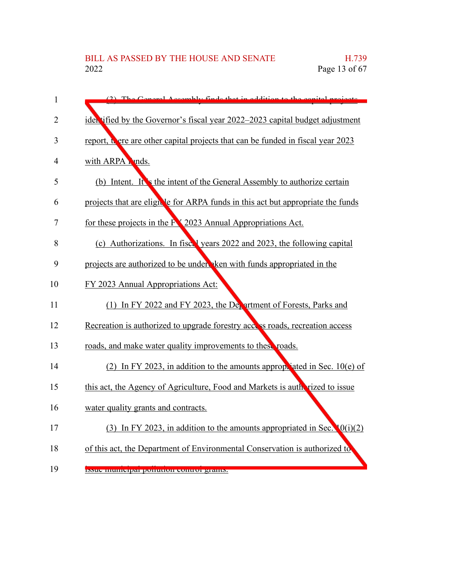| $\mathbf{1}$ | Congrel Accomply finds that in addition to the sex                                 |
|--------------|------------------------------------------------------------------------------------|
| 2            | ider tified by the Governor's fiscal year 2022–2023 capital budget adjustment      |
|              |                                                                                    |
| 3            | report, there are other capital projects that can be funded in fiscal year 2023    |
| 4            | with ARPA Punds.                                                                   |
| 5            | (b) Intent. It is the intent of the General Assembly to authorize certain          |
| 6            | projects that are eligible for ARPA funds in this act but appropriate the funds    |
| 7            | for these projects in the FX 2023 Annual Appropriations Act.                       |
| 8            | (c) Authorizations. In fiscal years 2022 and 2023, the following capital           |
| 9            | projects are authorized to be under ken with funds appropriated in the             |
| 10           | FY 2023 Annual Appropriations Act:                                                 |
| 11           | (1) In FY 2022 and FY 2023, the Devartment of Forests, Parks and                   |
| 12           | Recreation is authorized to upgrade forestry access roads, recreation access       |
| 13           | roads, and make water quality improvements to these roads.                         |
| 14           | (2) In FY 2023, in addition to the amounts appropriated in Sec. $10(e)$ of         |
| 15           | this act, the Agency of Agriculture, Food and Markets is autherized to issue       |
| 16           | water quality grants and contracts.                                                |
| 17           | (3) In FY 2023, in addition to the amounts appropriated in Sec. $\mathbf{0}(i)(2)$ |
| 18           | of this act, the Department of Environmental Conservation is authorized to         |
| 19           | <b>INSUE INUINEIPAI POIRTUOI CONTO PARIUS.</b>                                     |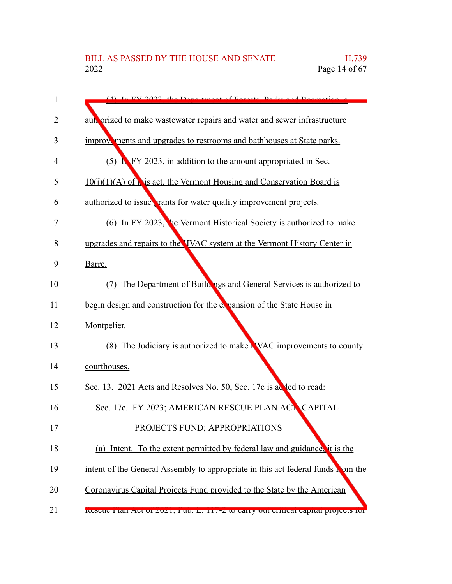| 1  | (4) In EV 2022, the Department of Equator Deply and Decreation is                         |
|----|-------------------------------------------------------------------------------------------|
| 2  | autroprized to make wastewater repairs and water and sewer infrastructure                 |
| 3  | improvements and upgrades to restrooms and bathhouses at State parks.                     |
| 4  | $(5)$ <b>N</b> FY 2023, in addition to the amount appropriated in Sec.                    |
| 5  | $10(i)(1)(A)$ of this act, the Vermont Housing and Conservation Board is                  |
| 6  | authorized to issue <b>rants</b> for water quality improvement projects.                  |
| 7  | (6) In FY 2023, the Vermont Historical Society is authorized to make                      |
| 8  | upgrades and repairs to the VVAC system at the Vermont History Center in                  |
| 9  | Barre.                                                                                    |
| 10 | The Department of Buildings and General Services is authorized to<br>(7)                  |
| 11 | begin design and construction for the expansion of the State House in                     |
| 12 | Montpelier.                                                                               |
| 13 | (8) The Judiciary is authorized to make NNAC improvements to county                       |
| 14 | courthouses.                                                                              |
| 15 | Sec. 13. 2021 Acts and Resolves No. 50, Sec. 17c is added to read:                        |
| 16 | Sec. 17c. FY 2023; AMERICAN RESCUE PLAN ACT CAPITAL                                       |
| 17 | PROJECTS FUND; APPROPRIATIONS                                                             |
| 18 | (a) Intent. To the extent permitted by federal law and guidance, it is the                |
| 19 | intent of the General Assembly to appropriate in this act federal funds nom the           |
| 20 | Coronavirus Capital Projects Fund provided to the State by the American                   |
| 21 | <u>Neseue 1 iail Act 01 2021, 1 u0. L. 11/-2 to early out entited eaphar projects for</u> |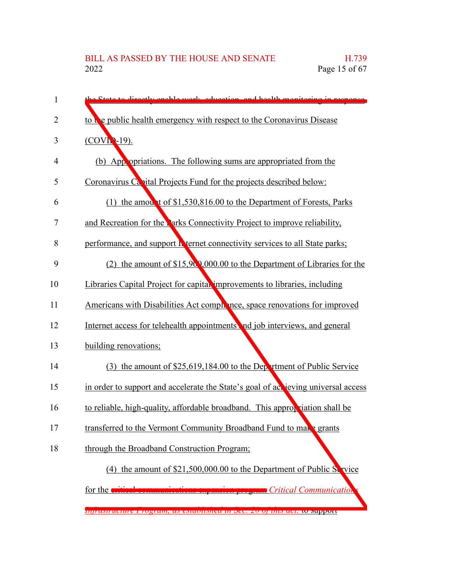| 1  | State to divectly enable week, education, and health monitoring in room            |  |
|----|------------------------------------------------------------------------------------|--|
| 2  | to be public health emergency with respect to the Coronavirus Disease              |  |
| 3  | $(COVI - 19)$ .                                                                    |  |
| 4  | (b) App opriations. The following sums are appropriated from the                   |  |
| 5  | Coronavirus Capital Projects Fund for the projects described below:                |  |
| 6  | (1) the amount of \$1,530,816.00 to the Department of Forests, Parks               |  |
| 7  | and Recreation for the Parks Connectivity Project to improve reliability,          |  |
| 8  | performance, and support <b>h</b> ternet connectivity services to all State parks; |  |
| 9  | (2) the amount of $$15,90,000.00$ to the Department of Libraries for the           |  |
| 10 | Libraries Capital Project for capital improvements to libraries, including         |  |
| 11 | Americans with Disabilities Act complence, space renovations for improved          |  |
| 12 | Internet access for telehealth appointments nd job interviews, and general         |  |
| 13 | building renovations;                                                              |  |
| 14 | (3) the amount of \$25,619,184.00 to the Department of Public Service              |  |
| 15 | in order to support and accelerate the State's goal of act jeving universal access |  |
| 16 | to reliable, high-quality, affordable broadband. This approx riation shall be      |  |
| 17 | transferred to the Vermont Community Broadband Fund to make grants                 |  |
| 18 | through the Broadband Construction Program;                                        |  |
|    | (4) the amount of \$21,500,000.00 to the Department of Public Service              |  |
|    | for the oritin<br>Critical Communication                                           |  |
|    | пуналнистине в годниц, ал емионыка инмес. 20 оринлист со миррон                    |  |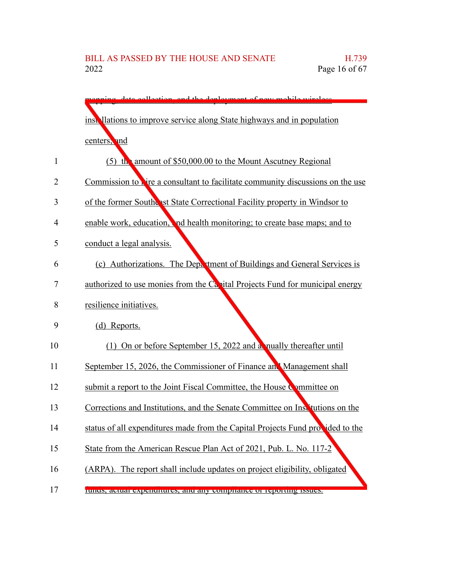| llootion and the<br>doplormont of now m                                        |
|--------------------------------------------------------------------------------|
| instrillations to improve service along State highways and in population       |
| centers, and                                                                   |
| (5) the amount of \$50,000.00 to the Mount Ascutney Regional                   |
| Commission to vire a consultant to facilitate community discussions on the use |
| of the former Southesst State Correctional Facility property in Windsor to     |
| enable work, education, and health monitoring; to create base maps; and to     |
| conduct a legal analysis.                                                      |
| (c) Authorizations. The Department of Buildings and General Services is        |
| authorized to use monies from the Canital Projects Fund for municipal energy   |
| resilience initiatives.                                                        |
| (d) Reports.                                                                   |
| (1) On or before September 15, 2022 and a nually thereafter until              |
| September 15, 2026, the Commissioner of Finance and Management shall           |
| submit a report to the Joint Fiscal Committee, the House Committee on          |
| Corrections and Institutions, and the Senate Committee on Institutions on the  |
| status of all expenditures made from the Capital Projects Fund provided to the |
| State from the American Rescue Plan Act of 2021, Pub. L. No. 117-2             |
| (ARPA). The report shall include updates on project eligibility, obligated     |
| runus, actuar experientures, and any compirance or reporting issues.           |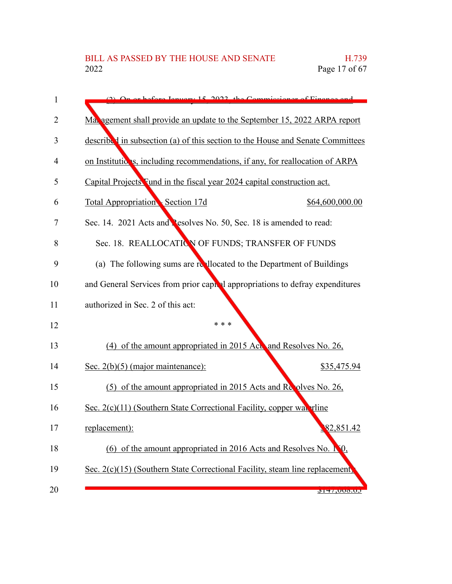| 1              | On or before January 15, 2022, the Commissioner of Finance and                 |  |  |
|----------------|--------------------------------------------------------------------------------|--|--|
| $\overline{2}$ | Ma agement shall provide an update to the September 15, 2022 ARPA report       |  |  |
| 3              | described in subsection (a) of this section to the House and Senate Committees |  |  |
| 4              | on Institutions, including recommendations, if any, for reallocation of ARPA   |  |  |
| 5              | Capital Projects Fund in the fiscal year 2024 capital construction act.        |  |  |
| 6              | Total Appropriation Section 17d<br>\$64,600,000.00                             |  |  |
| 7              | Sec. 14. 2021 Acts and Pesolves No. 50, Sec. 18 is amended to read:            |  |  |
| 8              | Sec. 18. REALLOCATION OF FUNDS; TRANSFER OF FUNDS                              |  |  |
| 9              | (a) The following sums are reallocated to the Department of Buildings          |  |  |
| 10             | and General Services from prior capital appropriations to defray expenditures  |  |  |
| 11             | authorized in Sec. 2 of this act:                                              |  |  |
| 12             | * * *                                                                          |  |  |
| 13             | (4) of the amount appropriated in 2015 Act and Resolves No. 26,                |  |  |
| 14             | Sec. $2(b)(5)$ (major maintenance):<br>\$35,475.94                             |  |  |
| 15             | (5) of the amount appropriated in 2015 Acts and Repolves No. 26,               |  |  |
| 16             | Sec. 2(c)(11) (Southern State Correctional Facility, copper wat rline          |  |  |
| 17             | 82,851.42<br>replacement):                                                     |  |  |
| 18             | (6) of the amount appropriated in 2016 Acts and Resolves No. 1                 |  |  |
| 19             | Sec. 2(c)(15) (Southern State Correctional Facility, steam line replacement)   |  |  |
| 20             | 7147,000.05                                                                    |  |  |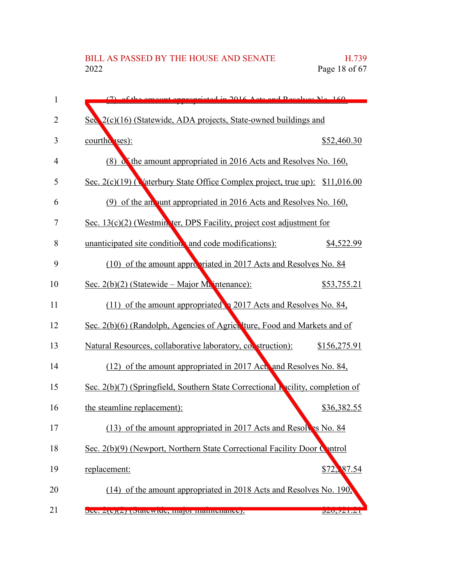| 1              | $(7)$ of the emeunt enpropriated in 2016 A etc and Decelves No. 160              |              |
|----------------|----------------------------------------------------------------------------------|--------------|
| $\overline{2}$ | Sec 2(c)(16) (Statewide, ADA projects, State-owned buildings and                 |              |
| 3              | courthouses):                                                                    | \$52,460.30  |
| $\overline{4}$ | (8) The amount appropriated in 2016 Acts and Resolves No. 160,                   |              |
| 5              | Sec. $2(c)(19)$ (Materbury State Office Complex project, true up): \$11,016.00   |              |
| 6              | (9) of the an unt appropriated in 2016 Acts and Resolves No. 160,                |              |
| 7              | Sec. 13(c)(2) (Westmin ter, DPS Facility, project cost adjustment for            |              |
| 8              | unanticipated site condition, and code modifications):                           | \$4,522.99   |
| 9              | (10) of the amount appropriated in 2017 Acts and Resolves No. 84                 |              |
| 10             | Sec. $2(b)(2)$ (Statewide – Major Majntenance):                                  | \$53,755.21  |
| 11             | (11) of the amount appropriated a 2017 Acts and Resolves No. 84,                 |              |
| 12             | Sec. 2(b)(6) (Randolph, Agencies of Agriculture, Food and Markets and of         |              |
| 13             | Natural Resources, collaborative laboratory, collectruction):                    | \$156,275.91 |
| 14             | (12) of the amount appropriated in 2017 Act, and Resolves No. 84,                |              |
| 15             | Sec. $2(b)(7)$ (Springfield, Southern State Correctional Nacility, completion of |              |
| 16             | the steamline replacement):                                                      | \$36,382.55  |
| 17             | (13) of the amount appropriated in 2017 Acts and Resolves No. 84                 |              |
| 18             | Sec. 2(b)(9) (Newport, Northern State Correctional Facility Door Control         |              |
| 19             | replacement:                                                                     | \$72, 87.54  |
| 20             | (14) of the amount appropriated in 2018 Acts and Resolves No. 190,               |              |
| 21             | $\sigma$ cc. $Z(\sigma)/Z$ pratewide, inajor manuemance).                        | QZU, ZZ1. Z1 |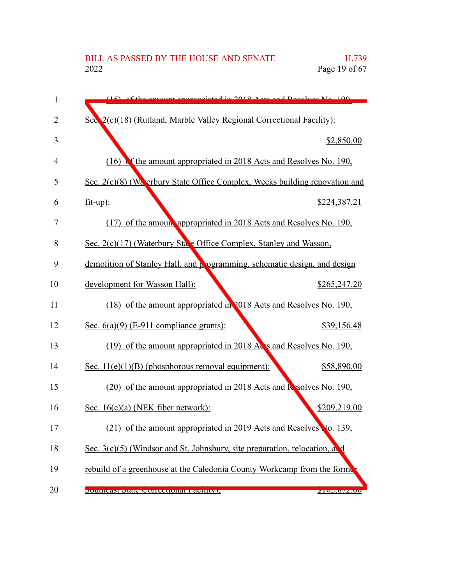| 1              | $(15)$ of the emount environmented in 2018, A etc. and Resolves No. 100.    |  |
|----------------|-----------------------------------------------------------------------------|--|
| $\overline{2}$ | Sec $2(c)(18)$ (Rutland, Marble Valley Regional Correctional Facility):     |  |
| 3              | \$2,850.00                                                                  |  |
| 4              | The amount appropriated in 2018 Acts and Resolves No. 190,<br>(16)          |  |
| 5              | Sec. 2(c)(8) (Waterbury State Office Complex, Weeks building renovation and |  |
| 6              | $fit-up$ :<br>\$224,387.21                                                  |  |
| 7              | (17) of the amoun appropriated in 2018 Acts and Resolves No. 190,           |  |
| 8              | Sec. 2(c)(17) (Waterbury State Office Complex, Stanley and Wasson,          |  |
| 9              | demolition of Stanley Hall, and programming, schematic design, and design   |  |
| 10             | development for Wasson Hall):<br>\$265,247.20                               |  |
| 11             | (18) of the amount appropriated in 2018 Acts and Resolves No. 190,          |  |
| 12             | Sec. $6(a)(9)$ (E-911 compliance grants):<br>\$39,156.48                    |  |
| 13             | (19) of the amount appropriated in 2018 Acts and Resolves No. 190,          |  |
| 14             | Sec. $11(e)(1)(B)$ (phosphorous removal equipment):<br>\$58,890.00          |  |
| 15             | (20) of the amount appropriated in 2018 Acts and <b>R</b> solves No. 190,   |  |
| 16             | \$209,219.00<br>Sec. $16(c)(a)$ (NEK fiber network):                        |  |
| 17             | (21) of the amount appropriated in 2019 Acts and Resolves Vo. 139,          |  |
| 18             | Sec. 3(c)(5) (Windsor and St. Johnsbury, site preparation, relocation, a.   |  |
| 19             | rebuild of a greenhouse at the Caledonia County Workcamp from the formula   |  |
| 20             | Suunicasi Siale Correctional Facility).<br>0102,012.00                      |  |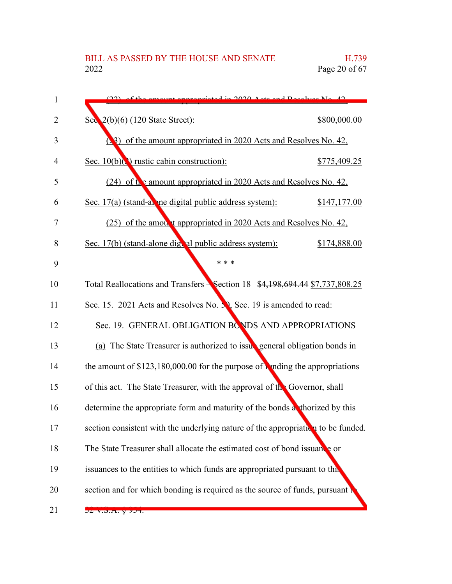| 1           | $(22)$ of the emount engropediated in 2020. Acts and Posselves No. 42                |              |
|-------------|--------------------------------------------------------------------------------------|--------------|
| 2           | Sec 2(b)(6) (120 State Street):                                                      | \$800,000.00 |
| 3           | (23) of the amount appropriated in 2020 Acts and Resolves No. 42,                    |              |
| 4           | Sec. $10(b)($ ) rustic cabin construction):                                          | \$775,409.25 |
| 5           | (24) of the amount appropriated in 2020 Acts and Resolves No. 42,                    |              |
| 6           | Sec. 17(a) (stand-alone digital public address system):                              | \$147,177.00 |
| 7           | (25) of the amou, t appropriated in 2020 Acts and Resolves No. 42,                   |              |
| 8           | Sec. 17(b) (stand-alone digital public address system):                              | \$174,888.00 |
| 9           | * * *                                                                                |              |
| 10          | Total Reallocations and Transfers Section 18 \$4,198,694.44 \$7,737,808.25           |              |
| 11          | Sec. 15. 2021 Acts and Resolves No. 30, Sec. 19 is amended to read:                  |              |
| 12          | Sec. 19. GENERAL OBLIGATION BONDS AND APPROPRIATIONS                                 |              |
| 13          | (a) The State Treasurer is authorized to issubsemeral obligation bonds in            |              |
| 14          | the amount of $$123,180,000.00$ for the purpose of <b>A</b> nding the appropriations |              |
| 15          | of this act. The State Treasurer, with the approval of the Governor, shall           |              |
| 16          | determine the appropriate form and maturity of the bonds a thorized by this          |              |
| 17          | section consistent with the underlying nature of the appropriation to be funded.     |              |
| 18          | The State Treasurer shall allocate the estimated cost of bond issuance or            |              |
| 19          | issuances to the entities to which funds are appropriated pursuant to this           |              |
| 20          | section and for which bonding is required as the source of funds, pursuant           |              |
| $\bigcap$ 1 |                                                                                      |              |

 $21$   $22 \text{ v.}$  $3.5.4.$   $8\overline{)37}$ .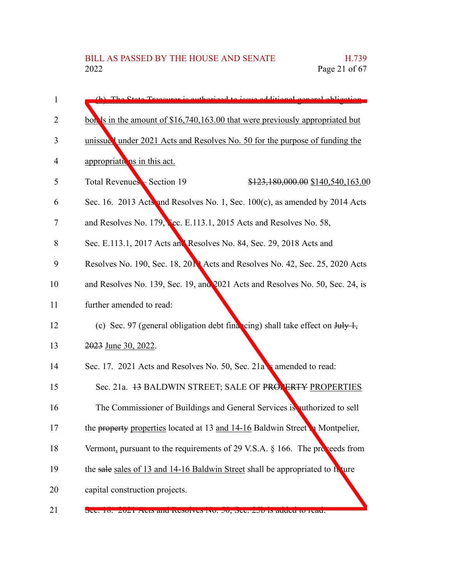- Treasurer is outhorized to issue additional general oblig bonds in the amount of \$16,740,163.00 that were previously appropriated but unissued under 2021 Acts and Resolves No. 50 for the purpose of funding the appropriations in this act. Total Revenues – Section 19  $$123,180,000.00 \$140,540,163.00$ Sec. 16. 2013 Acts and Resolves No. 1, Sec. 100(c), as amended by 2014 Acts and Resolves No. 179, Sec. E.113.1, 2015 Acts and Resolves No. 58, Sec. E.113.1, 2017 Acts and Resolves No. 84, Sec. 29, 2018 Acts and Resolves No. 190, Sec. 18, 2019 Acts and Resolves No. 42, Sec. 25, 2020 Acts and Resolves No. 139, Sec. 19, and 2021 Acts and Resolves No. 50, Sec. 24, is further amended to read: (c) Sec. 97 (general obligation debt financing) shall take effect on  $\frac{\text{H}_1 \cdot \text{H}_2}{\text{H}_1}$ 2023 June 30, 2022. Sec. 17. 2021 Acts and Resolves No. 50, Sec. 21a **is amended to read:** Sec. 21a. 43 BALDWIN STREET; SALE OF PROPERTY PROPERTIES The Commissioner of Buildings and General Services is authorized to sell the property properties located at 13 and  $14-16$  Baldwin Street in Montpelier, Vermont, pursuant to the requirements of 29 V.S.A.  $\S$  166. The proceeds from the sale sales of 13 and 14-16 Baldwin Street shall be appropriated to future capital construction projects. 1 2 3 4 5 6 7 8 9 10 11 12 13 14 15 16 17 18 19 20
- Sec. 10. 2021 Acts and Resolves No. 50, Sec. 250 is added to read. 21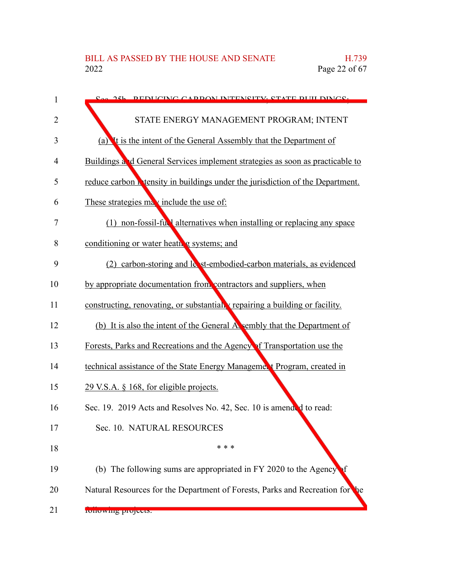| 1              | See 251. DEDICING CADDON INTENSITY, STATE DHII DINGS.                                 |
|----------------|---------------------------------------------------------------------------------------|
| $\overline{2}$ | STATE ENERGY MANAGEMENT PROGRAM; INTENT                                               |
| 3              | (a) It is the intent of the General Assembly that the Department of                   |
| 4              | Buildings and General Services implement strategies as soon as practicable to         |
| 5              | reduce carbon <b>N</b> tensity in buildings under the jurisdiction of the Department. |
| 6              | These strategies may include the use of:                                              |
| 7              | (1) non-fossil-ful alternatives when installing or replacing any space                |
| 8              | conditioning or water heath g systems; and                                            |
| 9              | (2) carbon-storing and lest-embodied-carbon materials, as evidenced                   |
| 10             | by appropriate documentation from contractors and suppliers, when                     |
| 11             | constructing, renovating, or substantially repairing a building or facility.          |
| 12             | (b) It is also the intent of the General Assembly that the Department of              |
| 13             | Forests, Parks and Recreations and the Agency of Transportation use the               |
| 14             | technical assistance of the State Energy Managemer t Program, created in              |
| 15             | 29 V.S.A. § 168, for eligible projects.                                               |
| 16             | Sec. 19. 2019 Acts and Resolves No. 42, Sec. 10 is amended to read:                   |
| 17             | Sec. 10. NATURAL RESOURCES                                                            |
| 18             | * * *                                                                                 |
| 19             | (b) The following sums are appropriated in FY 2020 to the Agency                      |
| 20             | Natural Resources for the Department of Forests, Parks and Recreation for<br>he       |
| 21             | <b>RUILUWING PROJECTS.</b>                                                            |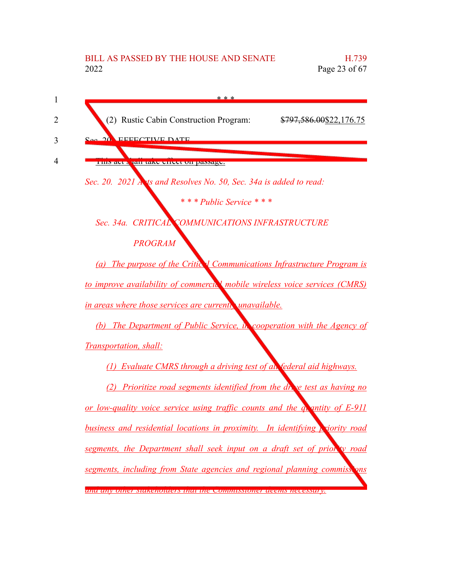## BILL AS PASSED BY THE HOUSE AND SENATE H.739 2022 Page 23 of 67

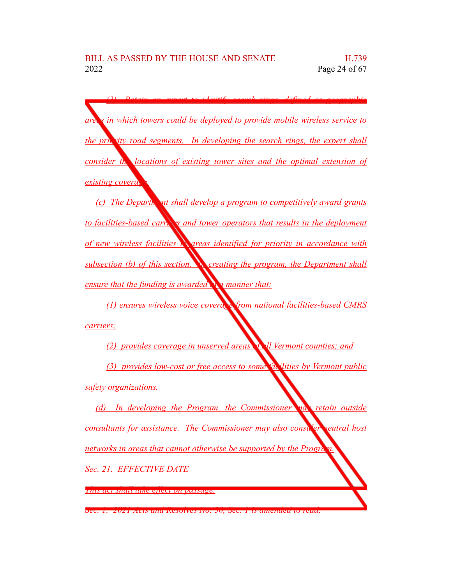*(3) Retain an expert to identify search rings, defined as geographic areas in which towers could be deployed to provide mobile wireless service to the pric ity road segments.* In *developing the search rings, the expert shall consider the locations of existing tower sites and the optimal extension of existing coverage.* 

*(c) The Departic ant shall develop a program to competitively award grants to facilities-based carrings and tower operators that results in the deployment of new wireless facilities in areas identified for priority in accordance with subsection (b) of this section. In creating the program, the Department shall ensure that the funding is awarded in a manner that:*

*(1) ensures wireless voice coverage from national facilities-based CMRS carriers;*

*(2) provides coverage in unserved areas of all Vermont counties; and (3) provides low-cost or free access to some facilities by Vermont public safety organizations.*

*(d) In developing the Program, the Commissioner may retain outside consultants for assistance. The Commissioner may also consider neutral host networks in areas that cannot otherwise be supported by the Program. Sec. 21. EFFECTIVE DATE*

*This act shall take effect on passage.*

*Sec. 1. 2021 Acts and Resolves No. 50, Sec. 1 is amended to read:*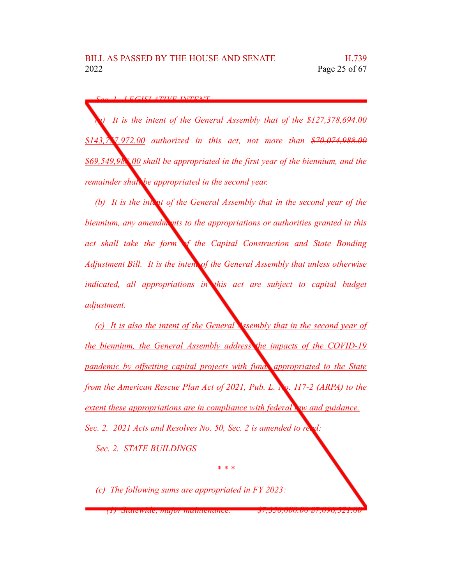*Sec. 1. LEGISLATIVE INTENT*

*(a) It is the intent of the General Assembly that of the \$127,378,694.00 \$143,757,972.00 authorized in this act, not more than \$70,074,988.00 \$69,549,988.00 shall be appropriated in the first year of the biennium, and the remainder shall be appropriated in the second year.*

*(b)* It is the *intent* of the General Assembly that in the second year of the *biennium, any amendments to the appropriations or authorities granted in this act shall take the form of the Capital Construction and State Bonding Adjustment Bill. It is the intent of the General Assembly that unless otherwise indicated, all appropriations in this act are subject to capital budget adjustment.*

*(c) It is also the intent of the General Assembly that in the second year of the biennium, the General Assembly address the impacts of the COVID-19 pandemic by offsetting capital projects with funds appropriated to the State from the American Rescue Plan Act of 2021, Pub. L. No. 117-2 (ARPA) to the extent these appropriations are in compliance with federal law and guidance. Sec.* 2. 2021 *Acts and Resolves No.* 50, *Sec.* 2 *is amended to read in* 

*\* \* \**

*Sec. 2. STATE BUILDINGS*

*(c) The following sums are appropriated in FY 2023:*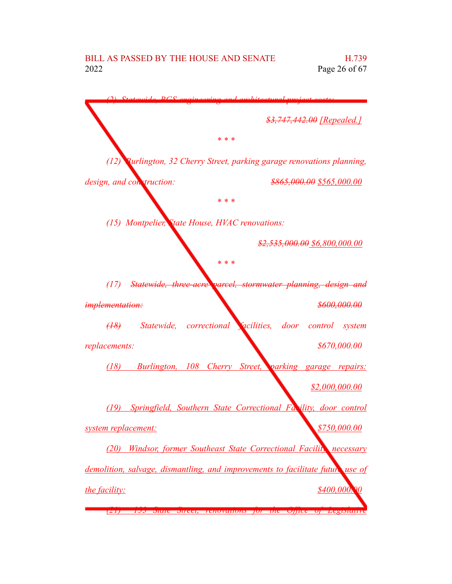*(2) Statewide, BGS engineering and architectural project costs: \$3,747,442.00 [Repealed.] \* \* \* (12) Burlington, 32 Cherry Street, parking garage renovations planning, design, and construction: \$865,000.00 \$565,000.00 \* \* \* (15) Montpelier, State House, HVAC renovations: \$2,535,000.00 \$6,800,000.00 \* \* \* (17) Statewide, three-acre parcel, stormwater planning, design and implementation: \$600,000.00 (18) Statewide, correctional facilities, door control system replacements: \$670,000.00 (18) Burlington, 108 Cherry Street, parking garage repairs: \$2,000,000.00 (19) Springfield, Southern State Correctional Facility, door control system replacement: \$750,000.00 (20) Windsor, former Southeast State Correctional Facility, necessary demolition, salvage, dismantling, and improvements to facilitate future use of the facility: \$400,000.00 (21) 133 State Street, renovations for the Office of Legislative*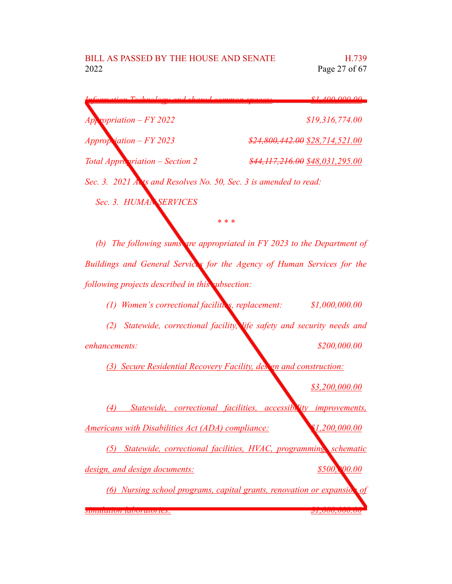| Information Toolwology and charad common graces.                  | $\ell$ 1 100 000 00                     |  |
|-------------------------------------------------------------------|-----------------------------------------|--|
| $App$ ropriation – FY 2022                                        | \$19,316,774.00                         |  |
| $Approp.$ iation $-FY 2023$                                       | \$24,800,442.00 \$28,714,521.00         |  |
| <b>Total Appropriation - Section 2</b>                            | $$44, 117, 216, 00$ $$48, 031, 295, 00$ |  |
| Sec. 3. 2021 Acts and Resolves No. 50, Sec. 3 is amended to read: |                                         |  |
| Sec. 3. HUMAN SERVICES                                            |                                         |  |

*(b) The following sums are appropriated in FY 2023 to the Department of Buildings and General Services for the Agency of Human Services for the following projects described in this subsection:*

*\* \* \**

*(1) Women's correctional facilities, replacement: \$1,000,000.00*

*(2) Statewide, correctional facility, life safety and security needs and enhancements: \$200,000.00*

*(3) Secure Residential Recovery Facility, design and construction:*

*\$3,200,000.00*

*(4) Statewide, correctional facilities, accessibility improvements, Americans with Disabilities Act (ADA) compliance: \$1,200,000.00*

*(5) Statewide, correctional facilities, HVAC, programming, schematic design,* and *design documents:*  $$500,000$ 

*(6) Nursing school programs, capital grants, renovation or expansio simulation laboratories: \$1,000,000.00*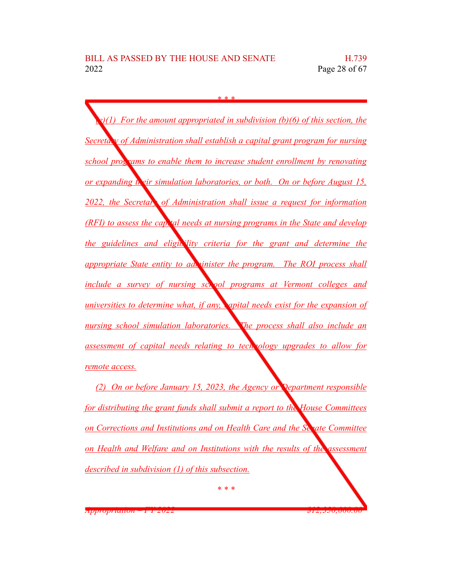*\* \* \* (e)(1) For the amount appropriated in subdivision (b)(6) of this section, the Secretary of Administration shall establish a capital grant program for nursing school programs to enable them to increase student enrollment by renovating or expanding their simulation laboratories, or both. On or before August 15, 2022, the Secretary of Administration shall issue a request for information (RFI) to assess the capital needs at nursing programs in the State and develop the guidelines and eligibility criteria for the grant and determine the appropriate State entity to administer the program. The ROI process shall include a survey of nursing school programs at Vermont colleges and universities to determine what, if any, capital needs exist for the expansion of nursing school simulation laboratories. The process shall also include an assessment of capital needs relating to technology upgrades to allow for remote access.*

*(2) On or before January 15, 2023, the Agency or Department responsible for distributing the grant funds shall submit a report to the House Committees on Corrections and Institutions and on Health Care and the Senate Committee on Health and Welfare and on Institutions with the results of the assessment described in subdivision (1) of this subsection.*

*\* \* \**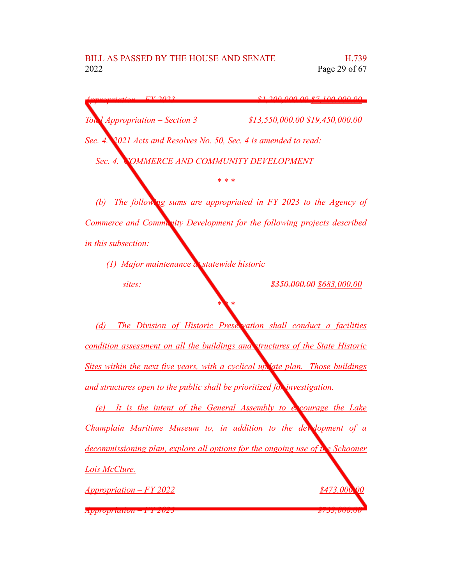*Appropriation – FY 2023 \$1,200,000.00 \$7,100,000.00 Total Appropriation – Section 3 \$13,550,000.00 \$19,450,000.00 Sec. 4. 2021 Acts and Resolves No. 50, Sec. 4 is amended to read: Sec. 4. COMMERCE AND COMMUNITY DEVELOPMENT*

*\* \* \**

*(b) The following sums are appropriated in FY 2023 to the Agency of Commerce and Community Development for the following projects described in this subsection:*

*(1) Major maintenance at statewide historic sites: \$350,000.00 \$683,000.00*

*(d) The Division of Historic Preservation shall conduct a facilities condition assessment on all the buildings and structures of the State Historic Sites within the next five years, with a cyclical update plan. Those buildings and structures open to the public shall be prioritized for investigation.*

*\* \* \**

*(e) It is the intent of the General Assembly to encourage the Lake Champlain Maritime Museum to, in addition to the development of a decommissioning plan, explore all options for the ongoing use of the Schooner Lois McClure. Appropriation – FY 2022 \$473,000.00*

*Appropriation – FY 2023 \$733,000.00*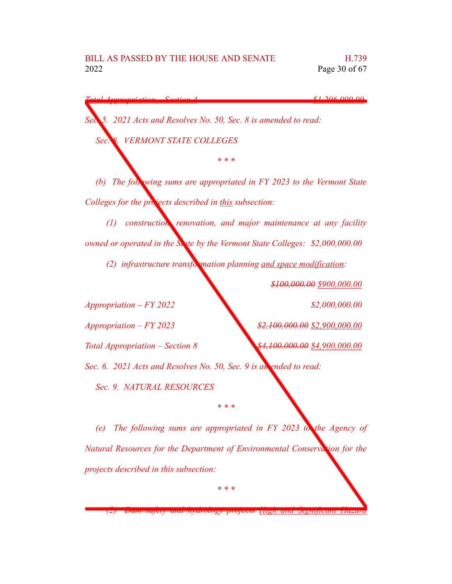*Total Appropriation – Section 4 \$1,206,000.00*

*Sec. 5. 2021 Acts and Resolves No. 50, Sec. 8 is amended to read: Sec. 8. VERMONT STATE COLLEGES*

*(b) The following sums are appropriated in FY 2023 to the Vermont State Colleges for the projects described in this subsection:*

*\* \* \**

*(1) construction, renovation, and major maintenance at any facility owned or operated in the State by the Vermont State Colleges: \$2,000,000.00*

*(2) infrastructure transformation planning <u>and space modification</u>:* 

*\$100,000.00 \$900,000.00*

*Appropriation – FY 2022 \$2,000,000.00 Appropriation – FY 2023 \$2,100,000.00 \$2,900,000.00 Total Appropriation – Section 8 \$4,100,000.00 \$4,900,000.00 Sec. 6. 2021 Acts and Resolves No. 50, Sec. 9 is amended to read: Sec. 9. NATURAL RESOURCES*

*(e) The following sums are appropriated in FY 2023 to the Agency of Natural Resources for the Department of Environmental Conservation for the projects described in this subsection:*

*\* \* \**

*\* \* \**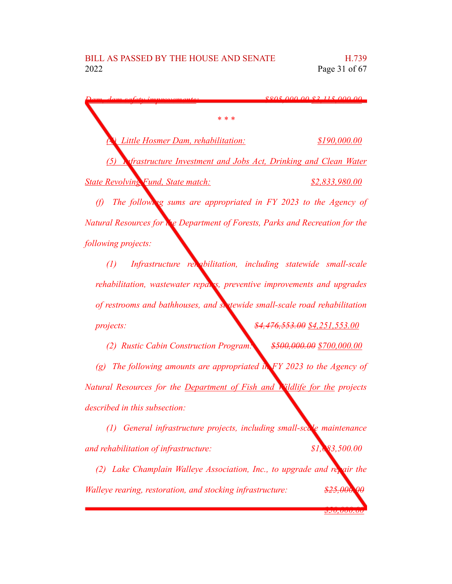*Dam, dam safety improvements: \$805,000.00 \$3,115,000.00 \* \* \* (4) Little Hosmer Dam, rehabilitation: \$190,000.00 (5) Infrastructure Investment and Jobs Act, Drinking and Clean Water State Revolving Fund, State match: \$2,833,980.00 (f) The following sums are appropriated in FY 2023 to the Agency of Natural Resources for the Department of Forests, Parks and Recreation for the following projects: (1) Infrastructure rehabilitation, including statewide small-scale rehabilitation, wastewater repairs, preventive improvements and upgrades*

*of restrooms and bathhouses, and statewide small-scale road rehabilitation projects: \$4,476,553.00 \$4,251,553.00*

*(2) Rustic Cabin Construction Program: \$500,000.00 \$700,000.00 (g) The following amounts are appropriated in FY 2023 to the Agency of Natural Resources for the Department of Fish and Wildlife for the projects described in this subsection:*

*(1) General infrastructure projects, including small-scale maintenance and rehabilitation of infrastructure: \$1,083,500.00*

*(2) Lake Champlain Walleye Association, Inc., to upgrade and repair the Walleye rearing, restoration, and stocking infrastructure: \$25,000.00*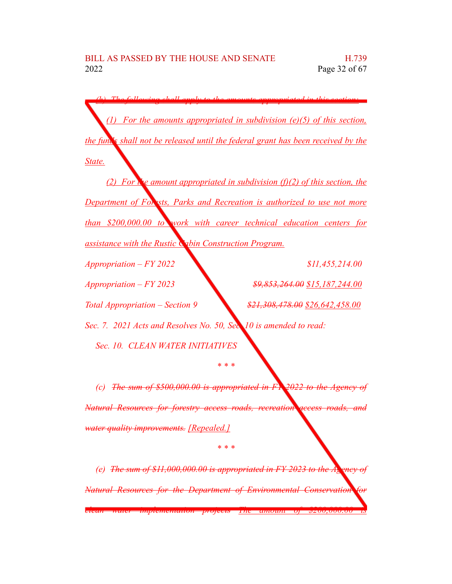*(h) The following shall apply to the amounts appropriated in this section: (1) For the amounts appropriated in subdivision (e)(5) of this section, the funds shall not be released until the federal grant has been received by the State. (2)* For  $\mathbf{r}^{\prime}$  *k e amount appropriated in subdivision (f)(2) of this section, the Department of Forests, Parks and Recreation is authorized to use not more than \$200,000.00 to work with career technical education centers for assistance with the Rustic Cabin Construction Program. Appropriation – FY 2022 \$11,455,214.00 Appropriation – FY 2023 \$9,853,264.00 \$15,187,244.00 Total Appropriation – Section 9 \$21,308,478.00 \$26,642,458.00 Sec. 7. 2021 Acts and Resolves No. 50, Sec. 10 is amended to read: Sec. 10. CLEAN WATER INITIATIVES \* \* \* (c) The sum of \$500,000.00 is appropriated in FY 2022 to the Agency of Natural Resources for forestry access roads, recreation access roads, and water quality improvements. [Repealed.]*

 $\alpha$  *(e) The sum of \$11,000,000.00 is appropriated in FY 2023 to the Agency Natural Resources for the Department of Environmental Conservation for clean water implementation projects The amount of \$200,000.00 is*

*\* \* \**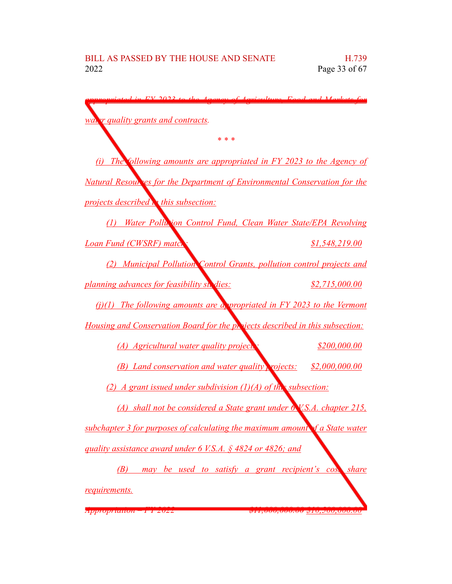| $EV$ 2022 to the <i>Aggrou</i><br>f <i>Agriculture</i> Eggd and <i>Markets</i> for |                     |  |  |
|------------------------------------------------------------------------------------|---------------------|--|--|
| waiver quality grants and contracts.                                               |                     |  |  |
| * * *                                                                              |                     |  |  |
| (i) The following amounts are appropriated in $FY$ 2023 to the Agency of           |                     |  |  |
| <b>Natural Resour es for the Department of Environmental Conservation for the</b>  |                     |  |  |
| projects described <b>A</b> this subsection:                                       |                     |  |  |
| Water Pollution Control Fund, Clean Water State/EPA Revolving<br>(1)               |                     |  |  |
| Loan Fund (CWSRF) mater                                                            | \$1,548,219.00      |  |  |
| (2) Municipal Pollution Control Grants, pollution control projects and             |                     |  |  |
| planning advances for feasibility st. dies:                                        | \$2,715,000.00      |  |  |
| $(j)(1)$ The following amounts are a propriated in FY 2023 to the Vermont          |                     |  |  |
| Housing and Conservation Board for the projects described in this subsection:      |                     |  |  |
| (A) Agricultural water quality projects                                            | <u>\$200,000.00</u> |  |  |
| (B) Land conservation and water quality projects:                                  | \$2,000,000.00      |  |  |
| (2) A grant issued under subdivision $(1)(A)$ of the subsection:                   |                     |  |  |
| (A) shall not be considered a State grant under 6 V.S.A. chapter 215,              |                     |  |  |
| subchapter 3 for purposes of calculating the maximum amount of a State water       |                     |  |  |
| quality assistance award under 6 V.S.A. § 4824 or 4826; and                        |                     |  |  |
| (B) may be used to satisfy a grant recipient's cos.                                | <i>share</i>        |  |  |
| requirements.                                                                      |                     |  |  |
|                                                                                    |                     |  |  |

*Appropriation – FY 2022 \$11,000,000.00 \$10,500,000.00*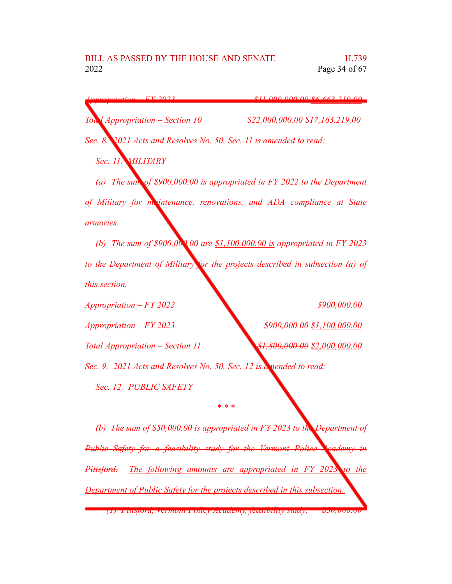*Appropriation – FY 2023 \$11,000,000.00 \$6,663,219.00 Total Appropriation – Section 10 \$22,000,000.00 \$17,163,219.00 Sec. 8. 2021 Acts and Resolves No. 50, Sec. 11 is amended to read: Sec. 11. MILITARY (a) The sum of \$900,000.00 is appropriated in FY 2022 to the Department of Military for maintenance, renovations, and ADA compliance at State armories. (b) The sum of \$900,000.00 are \$1,100,000.00 is appropriated in FY 2023 to the Department of Military for the projects described in subsection (a) of this section. Appropriation – FY 2022 \$900,000.00 Appropriation – FY 2023 \$900,000.00 \$1,100,000.00 Total Appropriation – Section 11 \$1,800,000.00 \$2,000,000.00 Sec. 9. 2021 Acts and Resolves No. 50, Sec. 12 is amended to read: Sec. 12. PUBLIC SAFETY*

*(b) The sum of \$50,000.00 is appropriated in FY 2023 to the Department of Public Safety for a feasibility study for the Vermont Police Academy in Pittsford. The following amounts are appropriated in FY 2023 to the Department of Public Safety for the projects described in this subsection: (1) Pittsford, Vermont Policy Academy, feasibility study: \$50,000.00*

*\* \* \**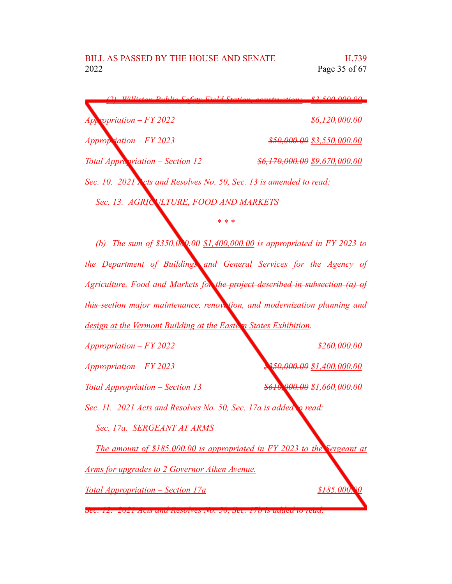|                                                                     | $(2)$ Williston Public Safety Field Station, construction: $$2,500,000,00$ |  |  |
|---------------------------------------------------------------------|----------------------------------------------------------------------------|--|--|
| $App$ ropriation – FY 2022                                          | \$6,120,000.00                                                             |  |  |
| Appropriation $-FY 2023$                                            | <del>\$50,000.00</del> \$3,550,000.00                                      |  |  |
| Total Appropriation – Section 12                                    | <del>\$6,170,000.00</del> \$9,670,000.00                                   |  |  |
| Sec. 10. 2021 Nets and Resolves No. 50, Sec. 13 is amended to read: |                                                                            |  |  |
| Sec. 13. AGRIC VLTURE, FOOD AND MARKETS                             |                                                                            |  |  |

*(b) The sum of \$350,000.00 \$1,400,000.00 is appropriated in FY 2023 to the Department of Buildings and General Services for the Agency of Agriculture, Food and Markets for the project described in subsection (a) of this section major maintenance, renovation, and modernization planning and design* at the Vermont Building at the Eastern States Exhibition.

*\* \* \**

*Appropriation – FY 2022 \$260,000.00*

*Appropriation – FY 2023 \$350,000.00 \$1,400,000.00*

*Total Appropriation – Section 13 \$610,000.00 \$1,660,000.00*

*Sec. 11. 2021 Acts and Resolves No. 50, Sec. 17a is added to read:*

*Sec. 17a. SERGEANT AT ARMS*

*The amount of \$185,000.00 is appropriated in FY 2023 to the Sergeant at*

*Arms for upgrades to 2 Governor Aiken Avenue.*

*Total Appropriation – Section 17a \$185,000.00*

*Sec. 12. 2021 Acts and Resolves No. 50, Sec. 17b is added to read:*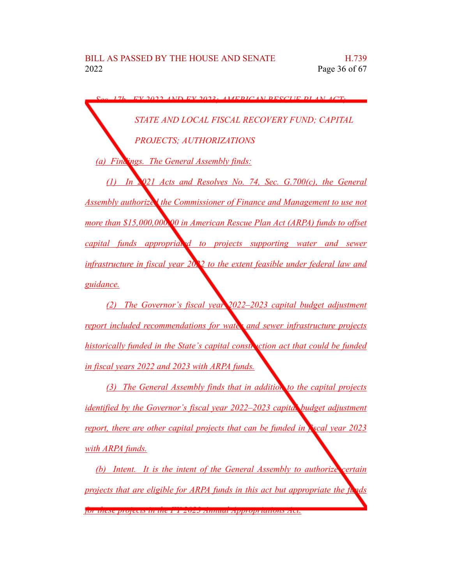$S/ND$  *FV* 2022; *AMERICAN RESCUE DLAN STATE AND LOCAL FISCAL RECOVERY FUND; CAPITAL PROJECTS; AUTHORIZATIONS (a) Findings. The General Assembly finds: (1) In 2021 Acts and Resolves No. 74, Sec. G.700(c), the General Assembly authorized the Commissioner of Finance and Management to use not more than \$15,000,000.00 in American Rescue Plan Act (ARPA) funds to offset capital funds appropriated to projects supporting water and sewer infrastructure in fiscal year 2022 to the extent feasible under federal law and guidance.*

*(2) The Governor's fiscal year 2022–2023 capital budget adjustment report included recommendations for water and sewer infrastructure projects historically funded in the State's capital construction act that could be funded in fiscal years 2022 and 2023 with ARPA funds.*

*(3) The General Assembly finds that in addition to the capital projects identified by the Governor's fiscal year 2022–2023 capital budget adjustment report, there are other capital projects that can be funded in fiscal year 2023 with ARPA funds.*

*(b) Intent. It is the intent of the General Assembly to authorize certain projects that are eligible for ARPA funds in this act but appropriate the funds for these projects in the FY 2023 Annual Appropriations Act.*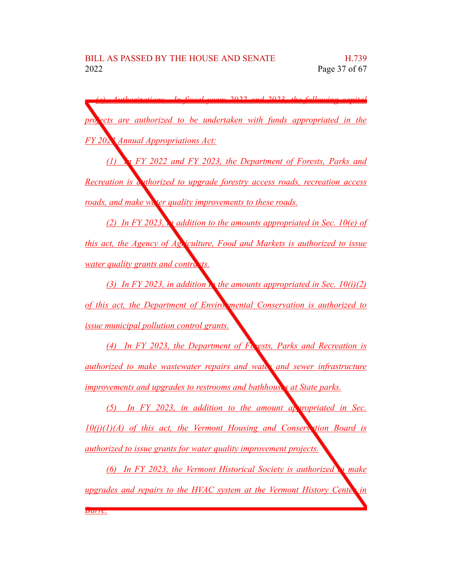$(2022 \times h)$  *and*  $2022 \times h$  *following projects are authorized to be undertaken with funds appropriated in the FY 2023 Annual Appropriations Act:*

*(1) In FY 2022 and FY 2023, the Department of Forests, Parks and Recreation is authorized to upgrade forestry access roads, recreation access roads, and make water quality improvements to these roads.* 

*(2) In FY 2023, in addition to the amounts appropriated in Sec. 10(e) of this act, the Agency of Agriculture, Food and Markets is authorized to issue water quality grants and contracts.* 

*(3) In FY 2023, in addition the amounts appropriated in Sec.**10(i)(2) of this act, the Department of Environmental Conservation is authorized to issue municipal pollution control grants.*

*(4) In FY 2023, the Department of Forests, Parks and Recreation is authorized to make wastewater repairs and water and sewer infrastructure improvements and upgrades to restrooms and bathhouses at State parks.*

*(5) In FY 2023, in addition to the amount appropriated in Sec. 10(j)(1)(A) of this act, the Vermont Housing and Conservation Board is authorized to issue grants for water quality improvement projects.*

*(6) In FY 2023, the Vermont Historical Society is authorized to make upgrades and repairs to the HVAC system at the Vermont History Center in Barre.*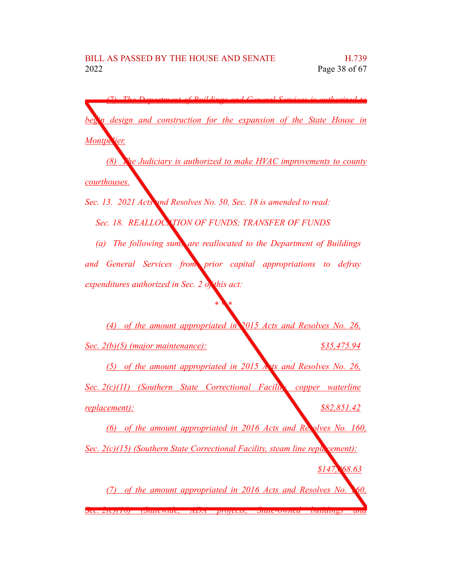*(7) The Department of Buildings and General Services is authorized to begin design and construction for the expansion of the State House in Montpelier.*

*(8) The Judiciary is authorized to make HVAC improvements to county courthouses.*

*Sec. 13. 2021 Acts and Resolves No. 50, Sec. 18 is amended to read: Sec. 18. REALLOCATION OF FUNDS; TRANSFER OF FUNDS (a) The following sums are reallocated to the Department of Buildings*

*and General Services from prior capital appropriations to defray expenditures authorized in Sec. 2 of this act:*

*\* \* \**

*(4) of the amount appropriated in 2015 Acts and Resolves No. 26, Sec. 2(b)(5) (major maintenance): \$35,475.94 (5) of the amount appropriated in 2015 Acts and Resolves No. 26, Sec. 2(c)(11) (Southern State Correctional Facility, copper waterline replacement): \$82,851.42 (6) of the amount appropriated in 2016 Acts and Resolves No. 160, Sec. 2(c)(15) (Southern State Correctional Facility, steam line repla cement): \$147,068.63*

*(7) of the amount appropriated in 2016 Acts and Resolves No. 160, Sec. 2(c)(16) (Statewide, ADA projects, State-owned buildings and*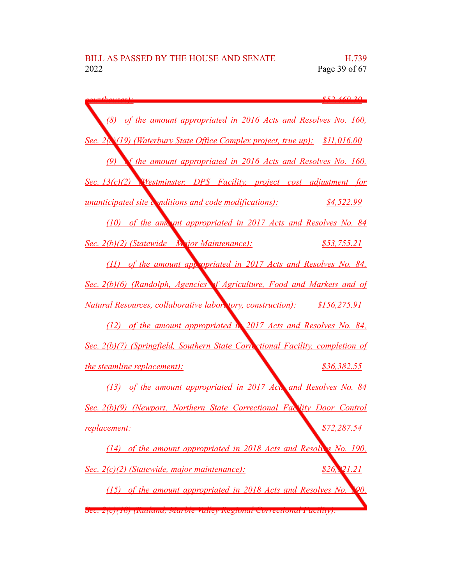*courthouses): \$52,460.30 (8) of the amount appropriated in 2016 Acts and Resolves No. 160, Sec. 2(c)(19) (Waterbury State Office Complex project, true up): \$11,016.00 (9) of the amount appropriated in 2016 Acts and Resolves No. 160, Sec. 13(c)(2) (Westminster, DPS Facility, project cost adjustment for unanticipated site conditions and code modifications):* \$4,522.99 *(10) of the amount appropriated in 2017 Acts and Resolves No. 84 Sec. 2(b)(2) (Statewide – Major Maintenance): \$53,755.21 (11) of the amount appropriated in 2017 Acts and Resolves No. 84, Sec. 2(b)(6) (Randolph, Agencies of Agriculture, Food and Markets and of Natural Resources, collaborative laboratory, construction): \$156,275.91 (12) of the amount appropriated in 2017 Acts and Resolves No. 84, Sec. 2(b)(7) (Springfield, Southern State Correctional Facility, completion of the steamline replacement*): *\$36,382.55 (13) of the amount appropriated in 2017 Acts and Resolves No. 84 Sec. 2(b)(9) (Newport, Northern State Correctional Facility Door Control replacement: \$72,287.54 (14) of the amount appropriated in 2018 Acts and Resolves No. 190, Sec. 2(c)(2) (Statewide, major maintenance): \$26,921.21 (15) of the amount appropriated in 2018 Acts and Resolves No. 190, Sec. 2(c)(18) (Rutland, Marble Valley Regional Correctional Facility):*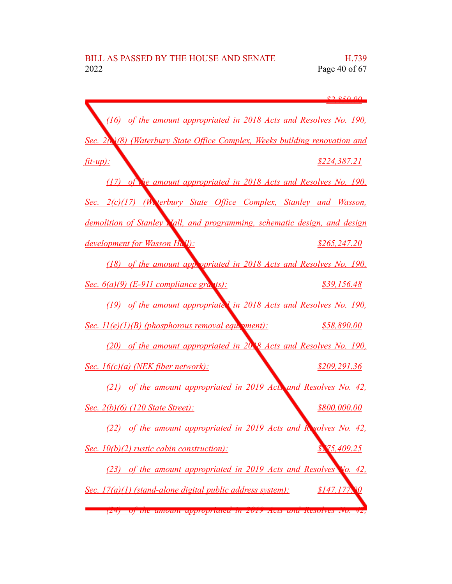|                                                                           | 82.850.00     |
|---------------------------------------------------------------------------|---------------|
| (16) of the amount appropriated in 2018 Acts and Resolves No. 190,        |               |
| Sec. 2(18) (Waterbury State Office Complex, Weeks building renovation and |               |
| $fit-up$ :                                                                | \$224,387.21  |
| (17) of the amount appropriated in 2018 Acts and Resolves No. 190,        |               |
| Sec. 2(c)(17) (We terbury State Office Complex, Stanley and Wasson,       |               |
| demolition of Stanley Vall, and programming, schematic design, and design |               |
| development for Wasson Hall):                                             | \$265, 247.20 |
| (18) of the amount appropriated in 2018 Acts and Resolves No. 190,        |               |
| Sec. $6(a)(9)$ (E-911 compliance grants):                                 | \$39,156.48   |
| (19) of the amount appropriated in 2018 Acts and Resolves No. 190,        |               |
| Sec. $II(e)(I)(B)$ (phosphorous removal equation-                         | \$58,890.00   |
| (20) of the amount appropriated in 20.8 Acts and Resolves No. 190,        |               |
| Sec. $16(c)(a)$ (NEK fiber network):                                      | \$209,291.36  |
| (21) of the amount appropriated in 2019 Act and Resolves No. 42,          |               |
| Sec. 2(b)(6) (120 State Street):                                          | \$800,000.00  |
| (22) of the amount appropriated in 2019 Acts and Resolves No. 42,         |               |
| Sec. $10(b)(2)$ rustic cabin construction):                               | 75,409.25     |
| (23) of the amount appropriated in 2019 Acts and Resolves Vo. 42,         |               |
| Sec. $17(a)(1)$ (stand-alone digital public address system):              | \$147,177     |
| <u>(27) — ор ние анкошил арргоргийса нь 2019 ясы ана кембического.</u>    |               |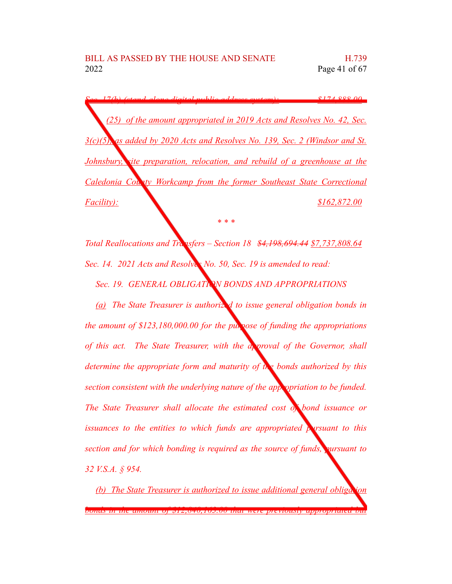*Sec. 17(b) (stand-alone digital public address system): \$174,888.00 (25) of the amount appropriated in 2019 Acts and Resolves No. 42, Sec. 3(c)(5), as added by 2020 Acts and Resolves No. 139, Sec. 2 (Windsor and St. Johnsbury, site preparation, relocation, and rebuild of a greenhouse at the Caledonia County Workcamp from the former Southeast State Correctional Facility): \$162,872.00*

*Total Reallocations and Transfers – Section 18 \$4,198,694.44 \$7,737,808.64 Sec. 14. 2021 Acts and Resolves No. 50, Sec. 19 is amended to read:*

*\* \* \**

*Sec. 19. GENERAL OBLIGATION BONDS AND APPROPRIATIONS*

*(a) The State Treasurer is authorized to issue general obligation bonds in the amount of \$123,180,000.00 for the purpose of funding the appropriations of this act. The State Treasurer, with the approval of the Governor, shall determine the appropriate form and maturity of the bonds authorized by this section consistent with the underlying nature of the appropriation to be funded. The State Treasurer shall allocate the estimated cost of bond issuance or issuances to the entities to which funds are appropriated pursuant to this section and for which bonding is required as the source of funds, pursuant to 32 V.S.A. § 954.*

*(b) The State Treasurer is authorized to issue additional general obligation bonds in the amount of \$12,840,163.00 that were previously appropriated but*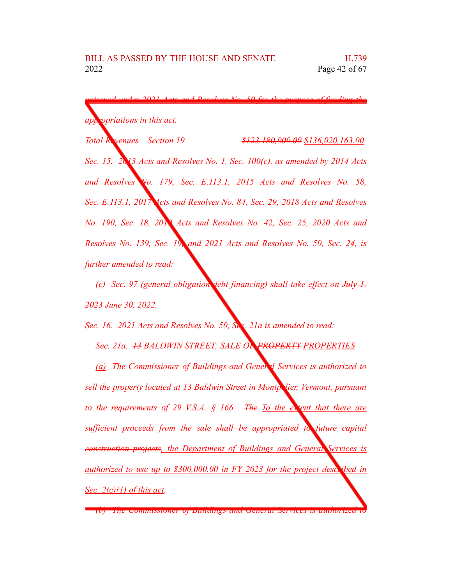*unissued under 2021 Acts and Resolves No. 50 for the purpose of funding the appropriations in this act. Total Revenues – Section 19 \$123,180,000.00 \$136,020,163.00*

*Sec. 15. 2013 Acts and Resolves No. 1, Sec. 100(c), as amended by 2014 Acts and Resolves No. 179, Sec. E.113.1, 2015 Acts and Resolves No. 58, Sec. E.113.1, 2017 Acts and Resolves No. 84, Sec. 29, 2018 Acts and Resolves No. 190, Sec. 18, 2019 Acts and Resolves No. 42, Sec. 25, 2020 Acts and Resolves No. 139, Sec. 19, and 2021 Acts and Resolves No. 50, Sec. 24, is further amended to read:*

*(c) Sec. 97 (general obligation debt financing) shall take effect on July 1, 2023 June 30, 2022.*

*Sec. 16. 2021 Acts and Resolves No. 50, Sec. 21a is amended to read:*

*Sec. 21a. 13 BALDWIN STREET; SALE OF PROPERTY PROPERTIES*

*(a) The Commissioner of Buildings and General Services is authorized to sell* the *property located* at 13 *Baldwin Street in Montpolier, Vermont, pursuant to the requirements of 29 V.S.A. § 166. The To the extent that there are sufficient proceeds from the sale shall be appropriated to future capital construction projects, the Department of Buildings and General Services is authorized to use up to \$300,000.00 in FY 2023 for the project described in Sec. 2(c)(1) of this act.*

*<sup>(</sup>b) The Commissioner of Buildings and General Services is authorized to*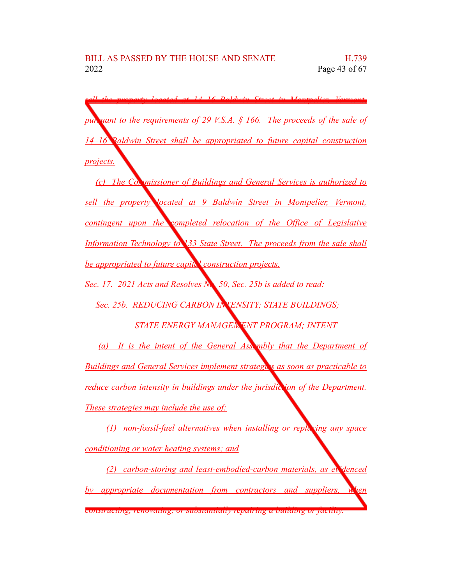*sell the property located at 14–16 Baldwin Street in Montpelier, Vermont, pursuant to the requirements of 29 V.S.A. § 166. The proceeds of the sale of 14–16 Baldwin Street shall be appropriated to future capital construction projects.*

*(c) The Commissioner of Buildings and General Services is authorized to sell the property located at 9 Baldwin Street in Montpelier, Vermont, contingent upon the completed relocation of the Office of Legislative Information Technology to 133 State Street. The proceeds from the sale shall be appropriated to future capital construction projects.*

*Sec. 17. 2021 Acts and Resolves No. 50, Sec. 25b is added to read:*

*Sec. 25b. REDUCING CARBON INTENSITY; STATE BUILDINGS;*

*STATE ENERGY MANAGEMENT PROGRAM; INTENT*

*(a) It is the intent of the General Assembly that the Department of Buildings and General Services implement strategies as soon as practicable to reduce carbon intensity in buildings under the jurisdic ion of the Department. These strategies may include the use of:*

*(1) non-fossil-fuel alternatives when installing or replacing any space conditioning or water heating systems; and*

*(2) carbon-storing and least-embodied-carbon materials, as evidenced by appropriate documentation from contractors and suppliers, when constructing, renovating, or substantially repairing a building or facility.*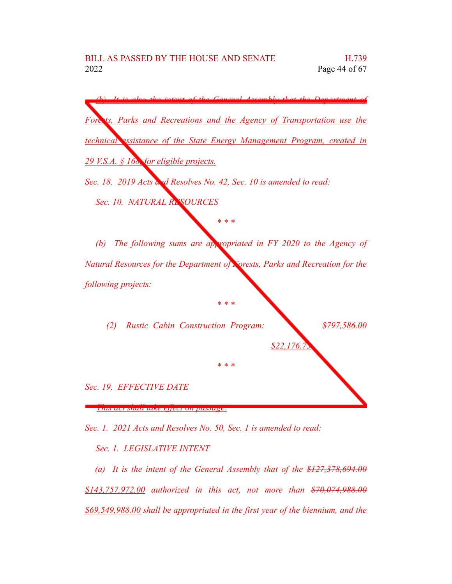

*Sec. 1. 2021 Acts and Resolves No. 50, Sec. 1 is amended to read:*

*Sec. 1. LEGISLATIVE INTENT*

*(a) It is the intent of the General Assembly that of the \$127,378,694.00 \$143,757,972.00 authorized in this act, not more than \$70,074,988.00 \$69,549,988.00 shall be appropriated in the first year of the biennium, and the*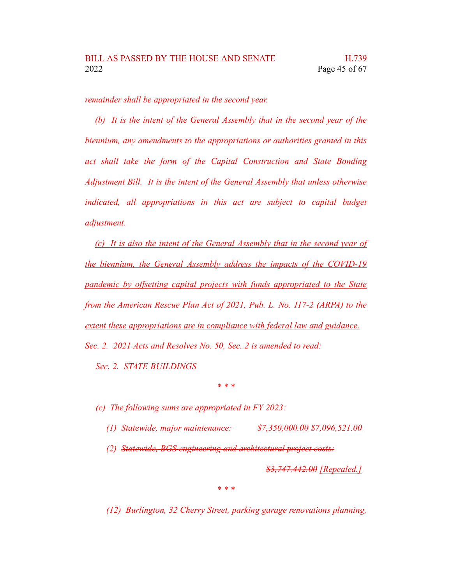*remainder shall be appropriated in the second year.*

*(b) It is the intent of the General Assembly that in the second year of the biennium, any amendments to the appropriations or authorities granted in this act shall take the form of the Capital Construction and State Bonding Adjustment Bill. It is the intent of the General Assembly that unless otherwise indicated, all appropriations in this act are subject to capital budget adjustment.*

*(c) It is also the intent of the General Assembly that in the second year of the biennium, the General Assembly address the impacts of the COVID-19 pandemic by offsetting capital projects with funds appropriated to the State from the American Rescue Plan Act of 2021, Pub. L. No. 117-2 (ARPA) to the extent these appropriations are in compliance with federal law and guidance. Sec. 2. 2021 Acts and Resolves No. 50, Sec. 2 is amended to read:*

*Sec. 2. STATE BUILDINGS*

*(c) The following sums are appropriated in FY 2023:*

*(1) Statewide, major maintenance: \$7,350,000.00 \$7,096,521.00*

*\* \* \**

*(2) Statewide, BGS engineering and architectural project costs:*

*\$3,747,442.00 [Repealed.]*

*\* \* \**

*(12) Burlington, 32 Cherry Street, parking garage renovations planning,*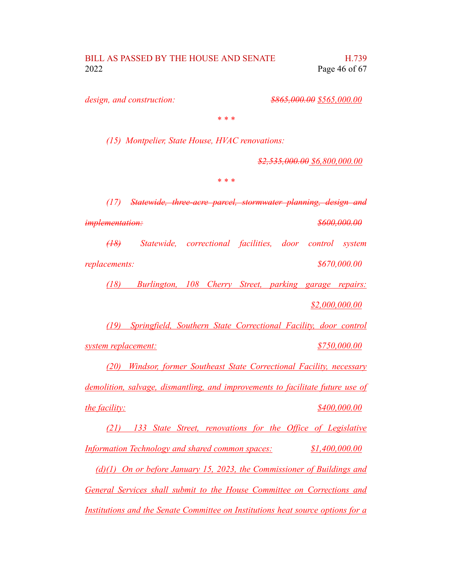*design, and construction: \$865,000.00 \$565,000.00*

*\* \* \**

*(15) Montpelier, State House, HVAC renovations:*

*\$2,535,000.00 \$6,800,000.00*

*\* \* \**

*(17) Statewide, three-acre parcel, stormwater planning, design and*

*implementation: \$600,000.00*

*(18) Statewide, correctional facilities, door control system replacements: \$670,000.00*

*(18) Burlington, 108 Cherry Street, parking garage repairs:*

*\$2,000,000.00*

*(19) Springfield, Southern State Correctional Facility, door control*

*system replacement: \$750,000.00*

*(20) Windsor, former Southeast State Correctional Facility, necessary*

*demolition, salvage, dismantling, and improvements to facilitate future use of the facility: \$400,000.00*

*(21) 133 State Street, renovations for the Office of Legislative Information Technology and shared common spaces: \$1,400,000.00*

*(d)(1) On or before January 15, 2023, the Commissioner of Buildings and*

*General Services shall submit to the House Committee on Corrections and*

*Institutions and the Senate Committee on Institutions heat source options for a*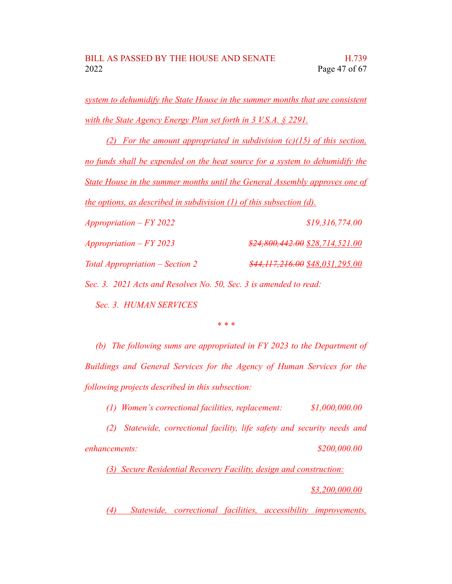*system to dehumidify the State House in the summer months that are consistent with the State Agency Energy Plan set forth in 3 V.S.A. § 2291.*

*(2) For the amount appropriated in subdivision (c)(15) of this section, no funds shall be expended on the heat source for a system to dehumidify the State House in the summer months until the General Assembly approves one of the options, as described in subdivision (1) of this subsection (d).*

*Appropriation – FY 2022 \$19,316,774.00 Appropriation – FY 2023 \$24,800,442.00 \$28,714,521.00 Total Appropriation – Section 2 \$44,117,216.00 \$48,031,295.00 Sec. 3. 2021 Acts and Resolves No. 50, Sec. 3 is amended to read:*

*Sec. 3. HUMAN SERVICES*

*\* \* \**

*(b) The following sums are appropriated in FY 2023 to the Department of Buildings and General Services for the Agency of Human Services for the following projects described in this subsection:*

*(1) Women's correctional facilities, replacement: \$1,000,000.00*

*(2) Statewide, correctional facility, life safety and security needs and enhancements: \$200,000.00*

*(3) Secure Residential Recovery Facility, design and construction:*

*\$3,200,000.00*

*(4) Statewide, correctional facilities, accessibility improvements,*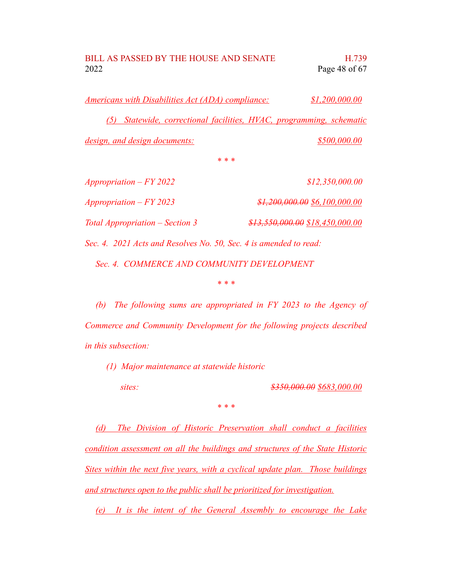*Americans with Disabilities Act (ADA) compliance: \$1,200,000.00 (5) Statewide, correctional facilities, HVAC, programming, schematic design, and design documents: \$500,000.00*

*\* \* \**

*Appropriation – FY 2022 \$12,350,000.00 Appropriation – FY 2023 \$1,200,000.00 \$6,100,000.00 Total Appropriation – Section 3 \$13,550,000.00 \$18,450,000.00*

*Sec. 4. 2021 Acts and Resolves No. 50, Sec. 4 is amended to read:*

*Sec. 4. COMMERCE AND COMMUNITY DEVELOPMENT*

*\* \* \**

*(b) The following sums are appropriated in FY 2023 to the Agency of Commerce and Community Development for the following projects described in this subsection:*

*(1) Major maintenance at statewide historic*

*sites: \$350,000.00 \$683,000.00*

*\* \* \**

*(d) The Division of Historic Preservation shall conduct a facilities condition assessment on all the buildings and structures of the State Historic Sites within the next five years, with a cyclical update plan. Those buildings and structures open to the public shall be prioritized for investigation.*

*(e) It is the intent of the General Assembly to encourage the Lake*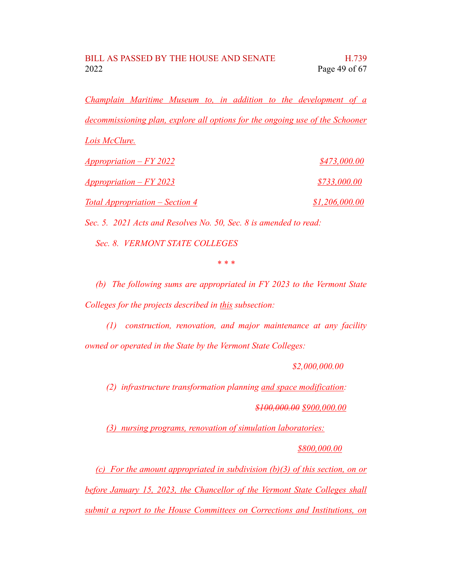*Champlain Maritime Museum to, in addition to the development of a decommissioning plan, explore all options for the ongoing use of the Schooner*

*Lois McClure.*

| <i><u><b>Appropriation – FY 2022</b></u></i>  | \$473,000.00   |  |
|-----------------------------------------------|----------------|--|
| <u> Appropriation – FY 2023</u>               | \$733,000.00   |  |
| <u><b>Total Appropriation – Section 4</b></u> | \$1,206,000.00 |  |

*Sec. 5. 2021 Acts and Resolves No. 50, Sec. 8 is amended to read:*

*Sec. 8. VERMONT STATE COLLEGES*

*\* \* \**

*(b) The following sums are appropriated in FY 2023 to the Vermont State Colleges for the projects described in this subsection:*

*(1) construction, renovation, and major maintenance at any facility owned or operated in the State by the Vermont State Colleges:*

*\$2,000,000.00*

*(2) infrastructure transformation planning and space modification:*

*\$100,000.00 \$900,000.00*

*(3) nursing programs, renovation of simulation laboratories:*

*\$800,000.00*

*(c) For the amount appropriated in subdivision (b)(3) of this section, on or before January 15, 2023, the Chancellor of the Vermont State Colleges shall submit a report to the House Committees on Corrections and Institutions, on*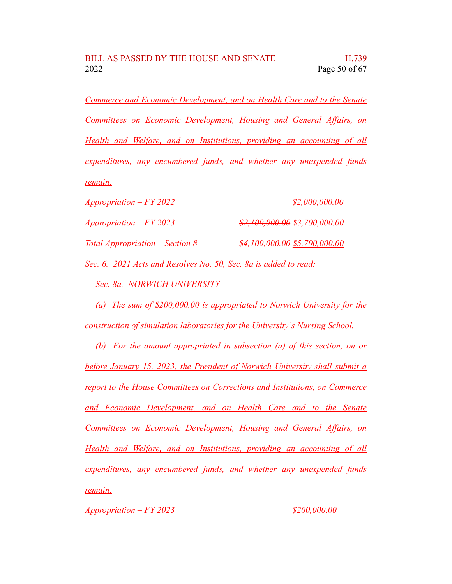*Commerce and Economic Development, and on Health Care and to the Senate Committees on Economic Development, Housing and General Affairs, on Health and Welfare, and on Institutions, providing an accounting of all expenditures, any encumbered funds, and whether any unexpended funds remain.*

| $Approxitation - FY 2022$         | \$2,000,000.00                 |
|-----------------------------------|--------------------------------|
| Appropriation $-FY 2023$          | $$2,100,000.00$ \$3,700,000.00 |
| Total Appropriation $-$ Section 8 | \$4,100,000.00 \$5,700,000.00  |

*Sec. 6. 2021 Acts and Resolves No. 50, Sec. 8a is added to read: Sec. 8a. NORWICH UNIVERSITY*

*(a) The sum of \$200,000.00 is appropriated to Norwich University for the construction of simulation laboratories for the University's Nursing School.*

*(b) For the amount appropriated in subsection (a) of this section, on or before January 15, 2023, the President of Norwich University shall submit a report to the House Committees on Corrections and Institutions, on Commerce and Economic Development, and on Health Care and to the Senate Committees on Economic Development, Housing and General Affairs, on Health and Welfare, and on Institutions, providing an accounting of all expenditures, any encumbered funds, and whether any unexpended funds remain.*

*Appropriation – FY 2023 \$200,000.00*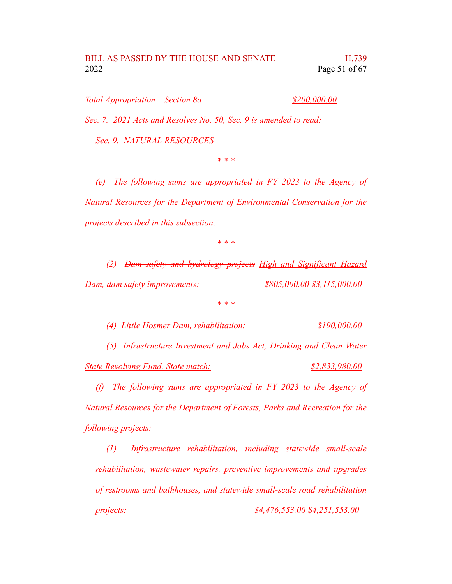*Total Appropriation – Section 8a \$200,000.00*

*Sec. 7. 2021 Acts and Resolves No. 50, Sec. 9 is amended to read:*

*Sec. 9. NATURAL RESOURCES*

*\* \* \**

*(e) The following sums are appropriated in FY 2023 to the Agency of Natural Resources for the Department of Environmental Conservation for the projects described in this subsection:*

*\* \* \**

*(2) Dam safety and hydrology projects High and Significant Hazard Dam, dam safety improvements: \$805,000.00 \$3,115,000.00*

*\* \* \**

*(4) Little Hosmer Dam, rehabilitation: \$190,000.00*

*(5) Infrastructure Investment and Jobs Act, Drinking and Clean Water State Revolving Fund, State match: \$2,833,980.00*

*(f) The following sums are appropriated in FY 2023 to the Agency of Natural Resources for the Department of Forests, Parks and Recreation for the following projects:*

*(1) Infrastructure rehabilitation, including statewide small-scale rehabilitation, wastewater repairs, preventive improvements and upgrades of restrooms and bathhouses, and statewide small-scale road rehabilitation projects: \$4,476,553.00 \$4,251,553.00*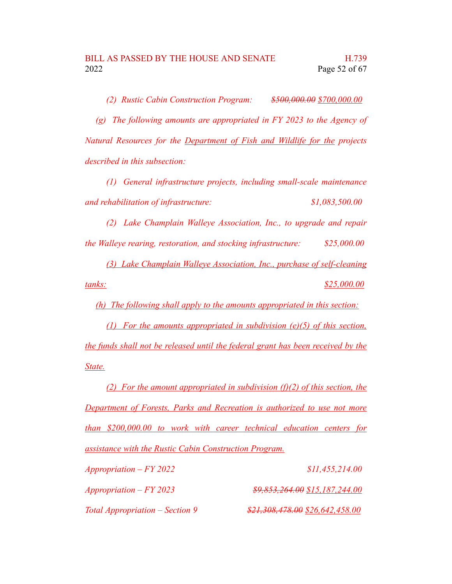*(2) Rustic Cabin Construction Program: \$500,000.00 \$700,000.00*

*(g) The following amounts are appropriated in FY 2023 to the Agency of Natural Resources for the Department of Fish and Wildlife for the projects described in this subsection:*

*(1) General infrastructure projects, including small-scale maintenance and rehabilitation of infrastructure: \$1,083,500.00*

*(2) Lake Champlain Walleye Association, Inc., to upgrade and repair the Walleye rearing, restoration, and stocking infrastructure: \$25,000.00*

*(3) Lake Champlain Walleye Association, Inc., purchase of self-cleaning tanks: \$25,000.00*

*(h) The following shall apply to the amounts appropriated in this section:*

*(1) For the amounts appropriated in subdivision (e)(5) of this section, the funds shall not be released until the federal grant has been received by the State.*

*(2) For the amount appropriated in subdivision (f)(2) of this section, the Department of Forests, Parks and Recreation is authorized to use not more than \$200,000.00 to work with career technical education centers for assistance with the Rustic Cabin Construction Program.*

| $Approximation - FY 2022$       | \$11,455,214.00                  |
|---------------------------------|----------------------------------|
| $Approxination - FY 2023$       | $$9,853,264.00$ \$15,187,244.00  |
| Total Appropriation – Section 9 | $$21,308,478.00$ \$26,642,458.00 |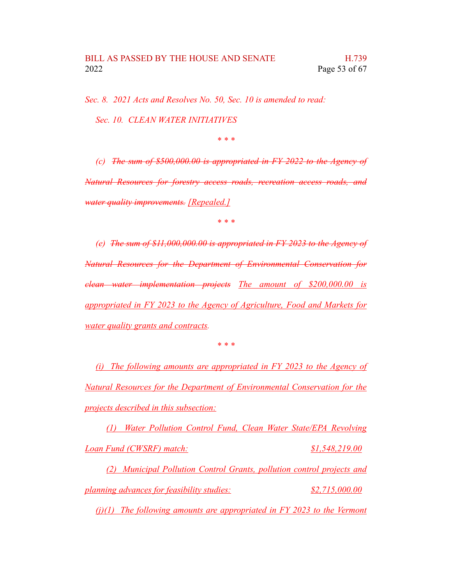*Sec. 8. 2021 Acts and Resolves No. 50, Sec. 10 is amended to read: Sec. 10. CLEAN WATER INITIATIVES*

*\* \* \**

*(c) The sum of \$500,000.00 is appropriated in FY 2022 to the Agency of Natural Resources for forestry access roads, recreation access roads, and water quality improvements. [Repealed.]*

*\* \* \**

*(e) The sum of \$11,000,000.00 is appropriated in FY 2023 to the Agency of Natural Resources for the Department of Environmental Conservation for clean water implementation projects The amount of \$200,000.00 is appropriated in FY 2023 to the Agency of Agriculture, Food and Markets for water quality grants and contracts.*

*\* \* \**

*(i) The following amounts are appropriated in FY 2023 to the Agency of Natural Resources for the Department of Environmental Conservation for the projects described in this subsection:*

*(1) Water Pollution Control Fund, Clean Water State/EPA Revolving Loan Fund (CWSRF) match: \$1,548,219.00*

*(2) Municipal Pollution Control Grants, pollution control projects and planning advances for feasibility studies: \$2,715,000.00*

*(j)(1) The following amounts are appropriated in FY 2023 to the Vermont*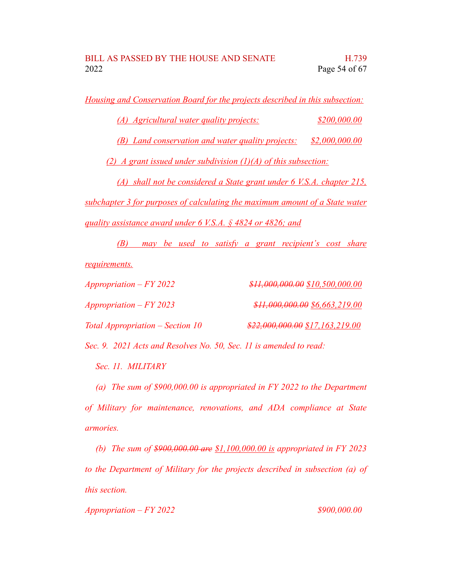*Housing and Conservation Board for the projects described in this subsection:*

*(A) Agricultural water quality projects: \$200,000.00*

*(B) Land conservation and water quality projects: \$2,000,000.00*

*(2) A grant issued under subdivision (1)(A) of this subsection:*

*(A) shall not be considered a State grant under 6 V.S.A. chapter 215, subchapter 3 for purposes of calculating the maximum amount of a State water*

*quality assistance award under 6 V.S.A. § 4824 or 4826; and*

*(B) may be used to satisfy a grant recipient's cost share requirements.*

| $Approximation - FY 2022$          | $$H,000,000.00$$ \$10,500,000.00  |
|------------------------------------|-----------------------------------|
| $Approximation - FY 2023$          | $$11,000,000.00$$ \$6,663,219.00  |
| Total Appropriation $-$ Section 10 | $$22,000,000.00$$ \$17,163,219.00 |

*Sec. 9. 2021 Acts and Resolves No. 50, Sec. 11 is amended to read:*

*Sec. 11. MILITARY*

*(a) The sum of \$900,000.00 is appropriated in FY 2022 to the Department of Military for maintenance, renovations, and ADA compliance at State armories.*

*(b) The sum of \$900,000.00 are \$1,100,000.00 is appropriated in FY 2023 to the Department of Military for the projects described in subsection (a) of this section.*

*Appropriation – FY 2022 \$900,000.00*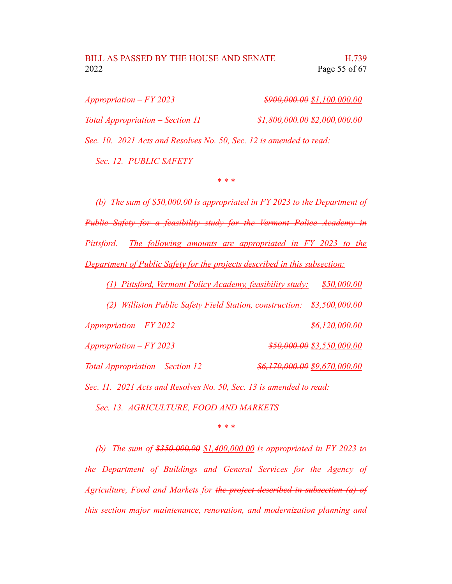## BILL AS PASSED BY THE HOUSE AND SENATE H.739 2022 Page 55 of 67

| $Approxination - FY 2023$                                           | $$900,000.00$$ \$1,100,000.00  |
|---------------------------------------------------------------------|--------------------------------|
| Total Appropriation – Section 11                                    | $$1,800,000.00$ \$2,000,000.00 |
| Sec. 10. 2021 Acts and Resolves No. 50, Sec. 12 is amended to read: |                                |
| Sec. 12. PUBLIC SAFETY                                              |                                |

*\* \* \**

*(b) The sum of \$50,000.00 is appropriated in FY 2023 to the Department of Public Safety for a feasibility study for the Vermont Police Academy in Pittsford. The following amounts are appropriated in FY 2023 to the Department of Public Safety for the projects described in this subsection:*

*(1) Pittsford, Vermont Policy Academy, feasibility study: \$50,000.00*

*(2) Williston Public Safety Field Station, construction: \$3,500,000.00*

*Appropriation – FY 2022 \$6,120,000.00 Appropriation – FY 2023 \$50,000.00 \$3,550,000.00*

*Total Appropriation – Section 12 \$6,170,000.00 \$9,670,000.00*

*Sec. 11. 2021 Acts and Resolves No. 50, Sec. 13 is amended to read:*

*Sec. 13. AGRICULTURE, FOOD AND MARKETS*

*\* \* \**

*(b) The sum of \$350,000.00 \$1,400,000.00 is appropriated in FY 2023 to the Department of Buildings and General Services for the Agency of Agriculture, Food and Markets for the project described in subsection (a) of this section major maintenance, renovation, and modernization planning and*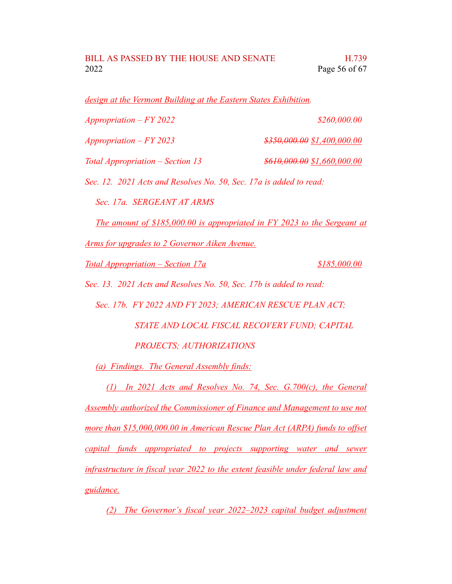*design at the Vermont Building at the Eastern States Exhibition.*

| $Approxination - FY 2022$                                                | \$260,000.00                  |
|--------------------------------------------------------------------------|-------------------------------|
| $Approxination - FY 2023$                                                | $$350,000.00$$ \$1,400,000.00 |
| Total Appropriation – Section 13                                         | $$610,000.00$ \$1,660,000.00  |
| Sec. 12. 2021 Acts and Resolves No. 50, Sec. 17a is added to read:       |                               |
| Sec. 17a. SERGEANT AT ARMS                                               |                               |
| The amount of \$185,000.00 is appropriated in FY 2023 to the Sergeant at |                               |
| <u>Arms for upgrades to 2 Governor Aiken Avenue.</u>                     |                               |
| Total Appropriation – Section 17a                                        | \$185,000.00                  |
| Sec. 13. 2021 Acts and Resolves No. 50, Sec. 17b is added to read:       |                               |
|                                                                          |                               |

*Sec. 17b. FY 2022 AND FY 2023; AMERICAN RESCUE PLAN ACT;*

*STATE AND LOCAL FISCAL RECOVERY FUND; CAPITAL PROJECTS; AUTHORIZATIONS*

*(a) Findings. The General Assembly finds:*

*(1) In 2021 Acts and Resolves No. 74, Sec. G.700(c), the General Assembly authorized the Commissioner of Finance and Management to use not more than \$15,000,000.00 in American Rescue Plan Act (ARPA) funds to offset capital funds appropriated to projects supporting water and sewer infrastructure in fiscal year 2022 to the extent feasible under federal law and guidance.*

*(2) The Governor's fiscal year 2022–2023 capital budget adjustment*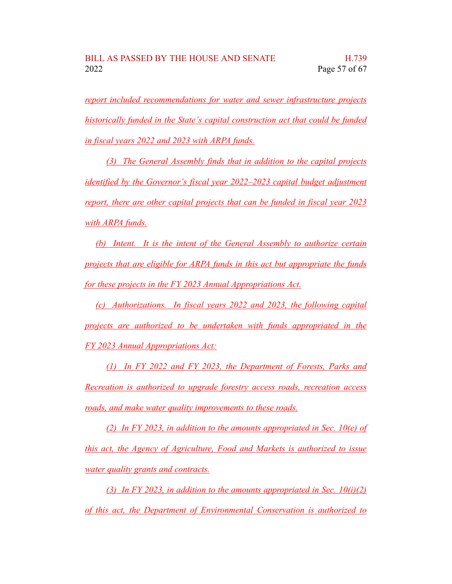*report included recommendations for water and sewer infrastructure projects historically funded in the State's capital construction act that could be funded in fiscal years 2022 and 2023 with ARPA funds.*

*(3) The General Assembly finds that in addition to the capital projects identified by the Governor's fiscal year 2022–2023 capital budget adjustment report, there are other capital projects that can be funded in fiscal year 2023 with ARPA funds.*

*(b) Intent. It is the intent of the General Assembly to authorize certain projects that are eligible for ARPA funds in this act but appropriate the funds for these projects in the FY 2023 Annual Appropriations Act.*

*(c) Authorizations. In fiscal years 2022 and 2023, the following capital projects are authorized to be undertaken with funds appropriated in the FY 2023 Annual Appropriations Act:*

*(1) In FY 2022 and FY 2023, the Department of Forests, Parks and Recreation is authorized to upgrade forestry access roads, recreation access roads, and make water quality improvements to these roads.*

*(2) In FY 2023, in addition to the amounts appropriated in Sec. 10(e) of this act, the Agency of Agriculture, Food and Markets is authorized to issue water quality grants and contracts.*

*(3) In FY 2023, in addition to the amounts appropriated in Sec. 10(i)(2) of this act, the Department of Environmental Conservation is authorized to*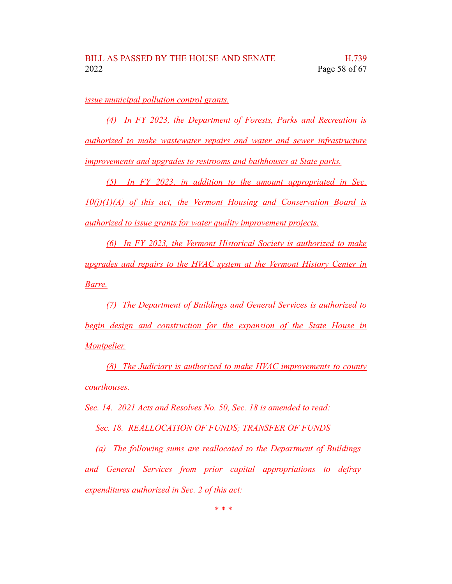*issue municipal pollution control grants.*

*(4) In FY 2023, the Department of Forests, Parks and Recreation is authorized to make wastewater repairs and water and sewer infrastructure improvements and upgrades to restrooms and bathhouses at State parks.*

*(5) In FY 2023, in addition to the amount appropriated in Sec. 10(j)(1)(A) of this act, the Vermont Housing and Conservation Board is authorized to issue grants for water quality improvement projects.*

*(6) In FY 2023, the Vermont Historical Society is authorized to make upgrades and repairs to the HVAC system at the Vermont History Center in Barre.*

*(7) The Department of Buildings and General Services is authorized to begin design and construction for the expansion of the State House in Montpelier.*

*(8) The Judiciary is authorized to make HVAC improvements to county courthouses.*

*Sec. 14. 2021 Acts and Resolves No. 50, Sec. 18 is amended to read:*

*Sec. 18. REALLOCATION OF FUNDS; TRANSFER OF FUNDS*

*(a) The following sums are reallocated to the Department of Buildings and General Services from prior capital appropriations to defray expenditures authorized in Sec. 2 of this act:*

*\* \* \**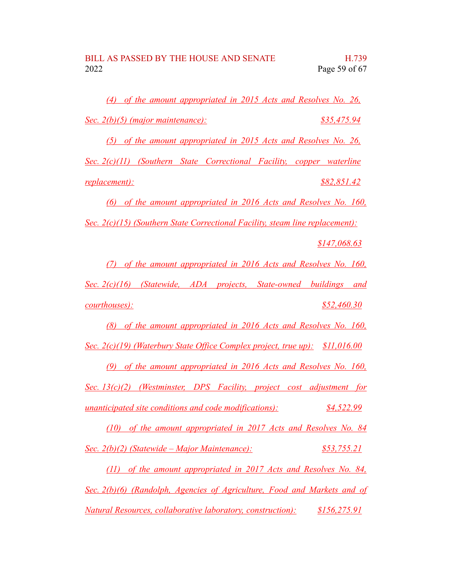*(4) of the amount appropriated in 2015 Acts and Resolves No. 26, Sec. 2(b)(5) (major maintenance): \$35,475.94*

*(5) of the amount appropriated in 2015 Acts and Resolves No. 26,*

*Sec. 2(c)(11) (Southern State Correctional Facility, copper waterline replacement): \$82,851.42*

*(6) of the amount appropriated in 2016 Acts and Resolves No. 160,*

*Sec. 2(c)(15) (Southern State Correctional Facility, steam line replacement):*

*\$147,068.63*

*(7) of the amount appropriated in 2016 Acts and Resolves No. 160,*

*Sec. 2(c)(16) (Statewide, ADA projects, State-owned buildings and courthouses): \$52,460.30*

*(8) of the amount appropriated in 2016 Acts and Resolves No. 160,*

*Sec. 2(c)(19) (Waterbury State Office Complex project, true up): \$11,016.00*

*(9) of the amount appropriated in 2016 Acts and Resolves No. 160, Sec. 13(c)(2) (Westminster, DPS Facility, project cost adjustment for unanticipated site conditions and code modifications): \$4,522.99*

*(10) of the amount appropriated in 2017 Acts and Resolves No. 84 Sec. 2(b)(2) (Statewide – Major Maintenance): \$53,755.21*

*(11) of the amount appropriated in 2017 Acts and Resolves No. 84, Sec. 2(b)(6) (Randolph, Agencies of Agriculture, Food and Markets and of Natural Resources, collaborative laboratory, construction): \$156,275.91*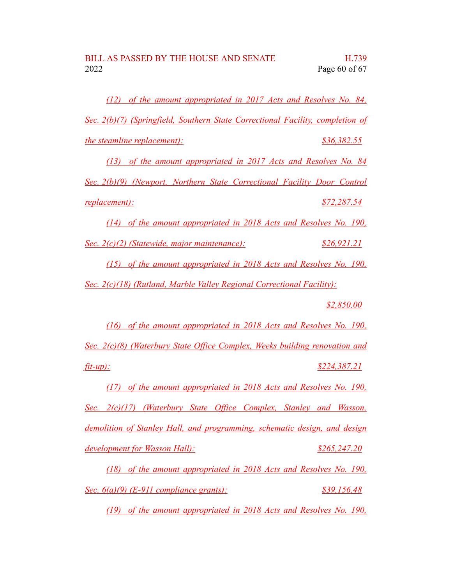*(12) of the amount appropriated in 2017 Acts and Resolves No. 84, Sec. 2(b)(7) (Springfield, Southern State Correctional Facility, completion of the steamline replacement): \$36,382.55*

*(13) of the amount appropriated in 2017 Acts and Resolves No. 84 Sec. 2(b)(9) (Newport, Northern State Correctional Facility Door Control replacement): \$72,287.54*

*(14) of the amount appropriated in 2018 Acts and Resolves No. 190,*

*Sec. 2(c)(2) (Statewide, major maintenance): \$26,921.21*

*(15) of the amount appropriated in 2018 Acts and Resolves No. 190, Sec. 2(c)(18) (Rutland, Marble Valley Regional Correctional Facility):*

*\$2,850.00*

*(16) of the amount appropriated in 2018 Acts and Resolves No. 190, Sec. 2(c)(8) (Waterbury State Office Complex, Weeks building renovation and fit-up): \$224,387.21*

*(17) of the amount appropriated in 2018 Acts and Resolves No. 190, Sec. 2(c)(17) (Waterbury State Office Complex, Stanley and Wasson, demolition of Stanley Hall, and programming, schematic design, and design development for Wasson Hall): \$265,247.20*

*(18) of the amount appropriated in 2018 Acts and Resolves No. 190, Sec. 6(a)(9) (E-911 compliance grants): \$39,156.48*

*(19) of the amount appropriated in 2018 Acts and Resolves No. 190,*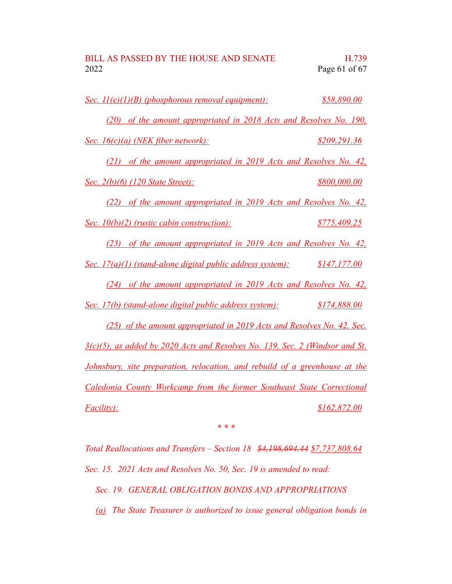| BILL AS PASSED BY THE HOUSE AND SENATE | H.739           |
|----------------------------------------|-----------------|
| 2022                                   | Page 61 of $67$ |

| Sec. 11(e)(1)(B) (phosphorous removal equipment):                                  | \$58,890.00  |
|------------------------------------------------------------------------------------|--------------|
| (20) of the amount appropriated in 2018 Acts and Resolves No. 190,                 |              |
| Sec. 16(c)(a) (NEK fiber network):                                                 | \$209,291.36 |
| (21) of the amount appropriated in 2019 Acts and Resolves No. 42,                  |              |
| <u>Sec. 2(b)(6) (120 State Street):</u>                                            | \$800,000.00 |
| (22) of the amount appropriated in 2019 Acts and Resolves No. 42,                  |              |
| <u>Sec. 10(b)(2) (rustic cabin construction):</u>                                  | \$775,409.25 |
| (23) of the amount appropriated in 2019 Acts and Resolves No. 42,                  |              |
| Sec. 17(a)(1) (stand-alone digital public address system):                         | \$147,177.00 |
| (24) of the amount appropriated in 2019 Acts and Resolves No. 42,                  |              |
| Sec. 17(b) (stand-alone digital public address system):                            | \$174,888.00 |
| (25) of the amount appropriated in 2019 Acts and Resolves No. 42, Sec.             |              |
| 3(c)(5), as added by 2020 Acts and Resolves No. 139, Sec. 2 (Windsor and St.       |              |
| <u>Johnsbury, site preparation, relocation, and rebuild of a greenhouse at the</u> |              |
| Caledonia County Workcamp from the former Southeast State Correctional             |              |
| <i>Facility):</i>                                                                  | \$162,872.00 |

*\* \* \**

*Total Reallocations and Transfers – Section 18 \$4,198,694.44 \$7,737,808.64 Sec. 15. 2021 Acts and Resolves No. 50, Sec. 19 is amended to read:*

*Sec. 19. GENERAL OBLIGATION BONDS AND APPROPRIATIONS*

*(a) The State Treasurer is authorized to issue general obligation bonds in*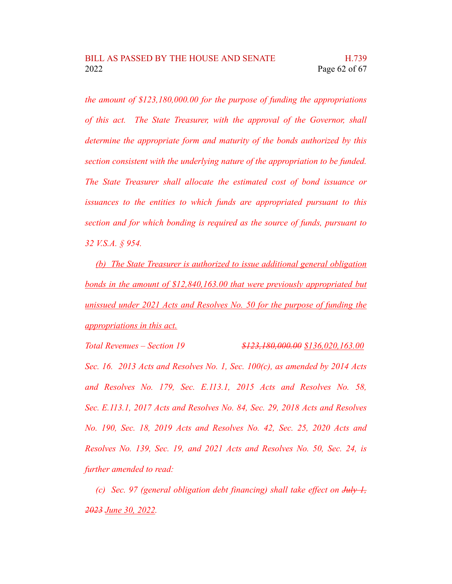*the amount of \$123,180,000.00 for the purpose of funding the appropriations of this act. The State Treasurer, with the approval of the Governor, shall determine the appropriate form and maturity of the bonds authorized by this section consistent with the underlying nature of the appropriation to be funded. The State Treasurer shall allocate the estimated cost of bond issuance or issuances to the entities to which funds are appropriated pursuant to this section and for which bonding is required as the source of funds, pursuant to 32 V.S.A. § 954.*

*(b) The State Treasurer is authorized to issue additional general obligation bonds in the amount of \$12,840,163.00 that were previously appropriated but unissued under 2021 Acts and Resolves No. 50 for the purpose of funding the appropriations in this act.*

*Total Revenues – Section 19 \$123,180,000.00 \$136,020,163.00 Sec. 16. 2013 Acts and Resolves No. 1, Sec. 100(c), as amended by 2014 Acts and Resolves No. 179, Sec. E.113.1, 2015 Acts and Resolves No. 58, Sec. E.113.1, 2017 Acts and Resolves No. 84, Sec. 29, 2018 Acts and Resolves No. 190, Sec. 18, 2019 Acts and Resolves No. 42, Sec. 25, 2020 Acts and Resolves No. 139, Sec. 19, and 2021 Acts and Resolves No. 50, Sec. 24, is further amended to read:*

*(c) Sec. 97 (general obligation debt financing) shall take effect on July 1, 2023 June 30, 2022.*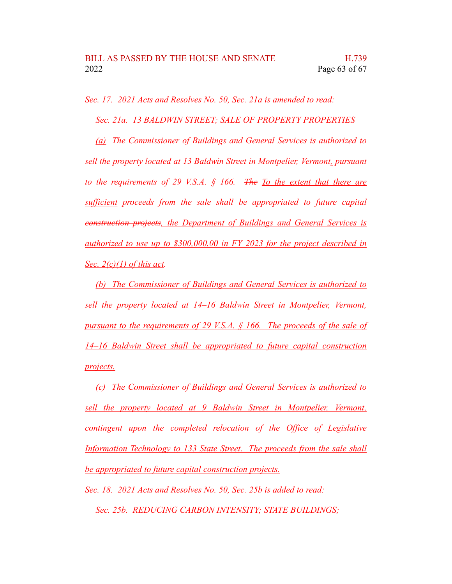*Sec. 17. 2021 Acts and Resolves No. 50, Sec. 21a is amended to read:*

*Sec. 21a. 13 BALDWIN STREET; SALE OF PROPERTY PROPERTIES*

*(a) The Commissioner of Buildings and General Services is authorized to sell the property located at 13 Baldwin Street in Montpelier, Vermont, pursuant to the requirements of 29 V.S.A. § 166. The To the extent that there are sufficient proceeds from the sale shall be appropriated to future capital construction projects, the Department of Buildings and General Services is authorized to use up to \$300,000.00 in FY 2023 for the project described in Sec. 2(c)(1) of this act.*

*(b) The Commissioner of Buildings and General Services is authorized to sell the property located at 14–16 Baldwin Street in Montpelier, Vermont, pursuant to the requirements of 29 V.S.A. § 166. The proceeds of the sale of 14–16 Baldwin Street shall be appropriated to future capital construction projects.*

*(c) The Commissioner of Buildings and General Services is authorized to sell the property located at 9 Baldwin Street in Montpelier, Vermont, contingent upon the completed relocation of the Office of Legislative Information Technology to 133 State Street. The proceeds from the sale shall be appropriated to future capital construction projects.*

*Sec. 18. 2021 Acts and Resolves No. 50, Sec. 25b is added to read: Sec. 25b. REDUCING CARBON INTENSITY; STATE BUILDINGS;*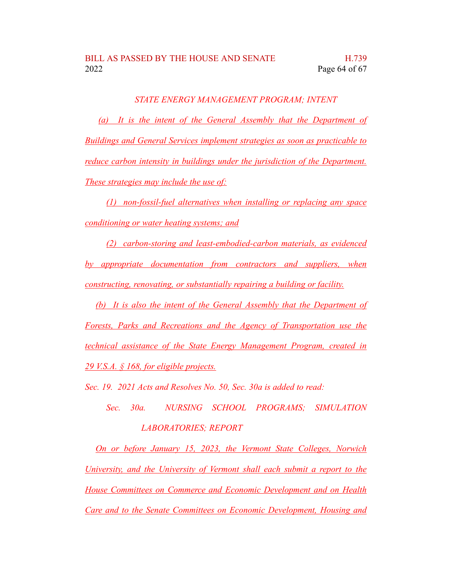#### *STATE ENERGY MANAGEMENT PROGRAM; INTENT*

*(a) It is the intent of the General Assembly that the Department of Buildings and General Services implement strategies as soon as practicable to reduce carbon intensity in buildings under the jurisdiction of the Department. These strategies may include the use of:*

*(1) non-fossil-fuel alternatives when installing or replacing any space conditioning or water heating systems; and*

*(2) carbon-storing and least-embodied-carbon materials, as evidenced by appropriate documentation from contractors and suppliers, when constructing, renovating, or substantially repairing a building or facility.*

*(b) It is also the intent of the General Assembly that the Department of Forests, Parks and Recreations and the Agency of Transportation use the technical assistance of the State Energy Management Program, created in 29 V.S.A. § 168, for eligible projects.*

*Sec. 19. 2021 Acts and Resolves No. 50, Sec. 30a is added to read:*

*Sec. 30a. NURSING SCHOOL PROGRAMS; SIMULATION LABORATORIES; REPORT*

*On or before January 15, 2023, the Vermont State Colleges, Norwich University, and the University of Vermont shall each submit a report to the House Committees on Commerce and Economic Development and on Health Care and to the Senate Committees on Economic Development, Housing and*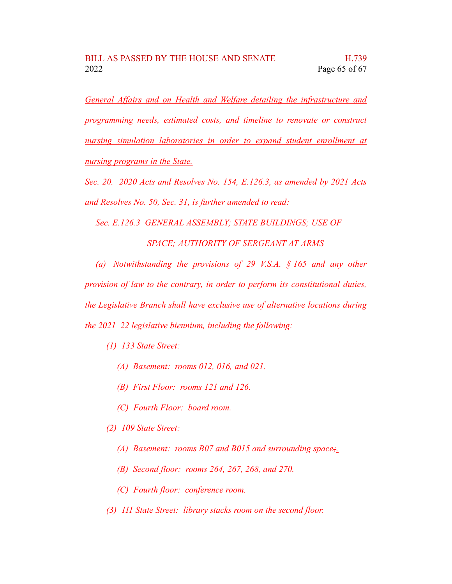*General Affairs and on Health and Welfare detailing the infrastructure and programming needs, estimated costs, and timeline to renovate or construct nursing simulation laboratories in order to expand student enrollment at nursing programs in the State.*

*Sec. 20. 2020 Acts and Resolves No. 154, E.126.3, as amended by 2021 Acts and Resolves No. 50, Sec. 31, is further amended to read:*

*Sec. E.126.3 GENERAL ASSEMBLY; STATE BUILDINGS; USE OF*

*SPACE; AUTHORITY OF SERGEANT AT ARMS*

*(a) Notwithstanding the provisions of 29 V.S.A. § 165 and any other provision of law to the contrary, in order to perform its constitutional duties, the Legislative Branch shall have exclusive use of alternative locations during the 2021–22 legislative biennium, including the following:*

- *(1) 133 State Street:*
	- *(A) Basement: rooms 012, 016, and 021.*
	- *(B) First Floor: rooms 121 and 126.*
	- *(C) Fourth Floor: board room.*
- *(2) 109 State Street:*
	- *(A) Basement: rooms B07 and B015 and surrounding space;.*
	- *(B) Second floor: rooms 264, 267, 268, and 270.*
	- *(C) Fourth floor: conference room.*
- *(3) 111 State Street: library stacks room on the second floor.*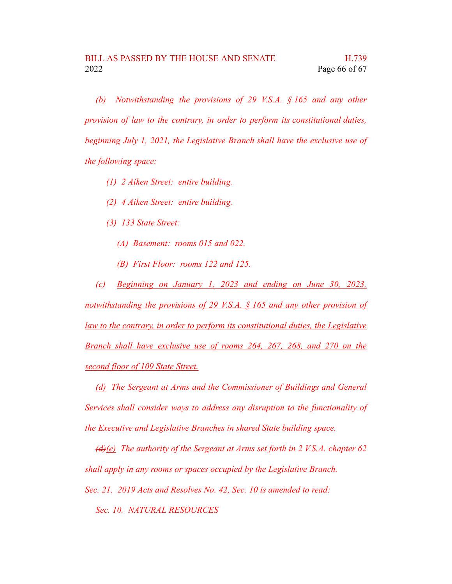*(b) Notwithstanding the provisions of 29 V.S.A. § 165 and any other provision of law to the contrary, in order to perform its constitutional duties, beginning July 1, 2021, the Legislative Branch shall have the exclusive use of the following space:*

- *(1) 2 Aiken Street: entire building.*
- *(2) 4 Aiken Street: entire building.*
- *(3) 133 State Street:*
	- *(A) Basement: rooms 015 and 022.*
	- *(B) First Floor: rooms 122 and 125.*

*(c) Beginning on January 1, 2023 and ending on June 30, 2023, notwithstanding the provisions of 29 V.S.A. § 165 and any other provision of law to the contrary, in order to perform its constitutional duties, the Legislative Branch shall have exclusive use of rooms 264, 267, 268, and 270 on the second floor of 109 State Street.*

*(d) The Sergeant at Arms and the Commissioner of Buildings and General Services shall consider ways to address any disruption to the functionality of the Executive and Legislative Branches in shared State building space.*

*(d)(e) The authority of the Sergeant at Arms set forth in 2 V.S.A. chapter 62 shall apply in any rooms or spaces occupied by the Legislative Branch.*

*Sec. 21. 2019 Acts and Resolves No. 42, Sec. 10 is amended to read:*

*Sec. 10. NATURAL RESOURCES*